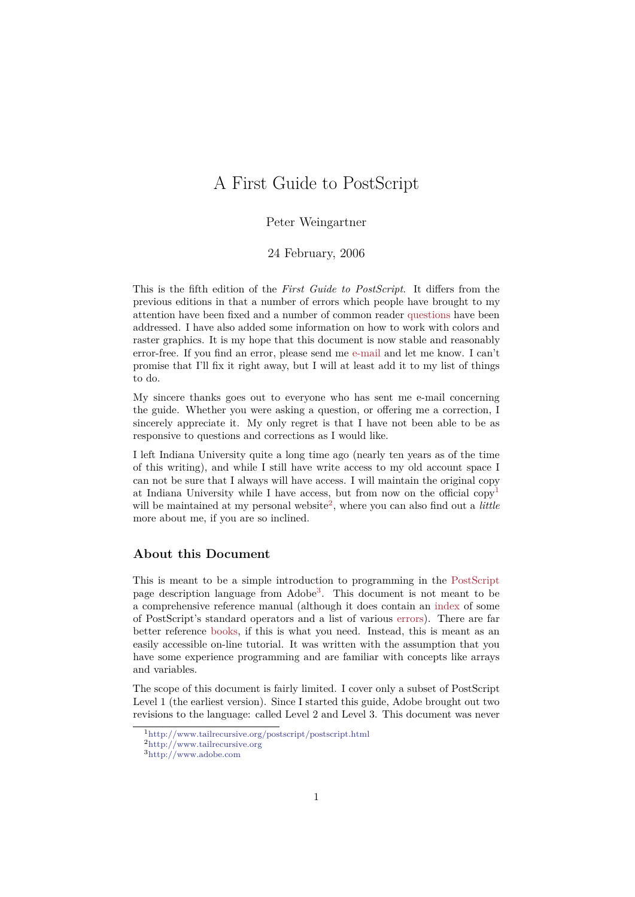# A First Guide to PostScript

Peter Weingartner

24 February, 2006

This is the fifth edition of the *First Guide to PostScript*. It differs from the previous editions in that a number of errors which people have brought to my attention have been fixed and a number of common reader questions have been addressed. I have also added some information on how to work with colors and raster graphics. It is my hope that this document is now stable and reasonably error-free. If you find an error, please send me e-mail and let me know. I can't promise that I'll fix it right away, but I will at least add it [to my lis](#page-38-0)t of things to do.

My sincere thanks goes out to everyone who has sent me e-mail concerning the guide. Whether you were asking a questio[n, or o](#page-58-0)ffering me a correction, I sincerely appreciate it. My only regret is that I have not been able to be as responsive to questions and corrections as I would like.

I left Indiana University quite a long time ago (nearly ten years as of the time of this writing), and while I still have write access to my old account space I can not be sure that I always will have access. I will maintain the original copy at Indiana University while I have access, but from now on the official copy<sup>1</sup> will be maintained at my personal website<sup>2</sup>, where you can also find out a *little* more about me, if you are so inclined.

# **About this Document**

This is meant to be a simple introduction to programming in the PostScript page description language from Adobe<sup>3</sup>. This document is not meant to be a comprehensive reference manual (although it does contain an index of some of PostScript's standard operators and a list of various errors). There are far better reference books, if this is what you need. Instead, this is m[eant as an](#page-1-0) easily accessible on-line tutorial. It wa[s](#page-0-0) written with the assumption that you have some experience programming and are familiar with conce[pts lik](#page-37-0)e arrays and variables.

The scope of thi[s docum](#page-58-1)ent is fairly limited. I cover only a subset of PostScript Level 1 (the earliest version). Since I started this guide, Adobe brought out two revisions to the language: called Level 2 and Level 3. This document was never

<sup>1</sup>http://www.tailrecursive.org/postscript/postscript.html

<sup>2</sup>http://www.tailrecursive.org

<span id="page-0-0"></span><sup>3</sup>http://www.adobe.com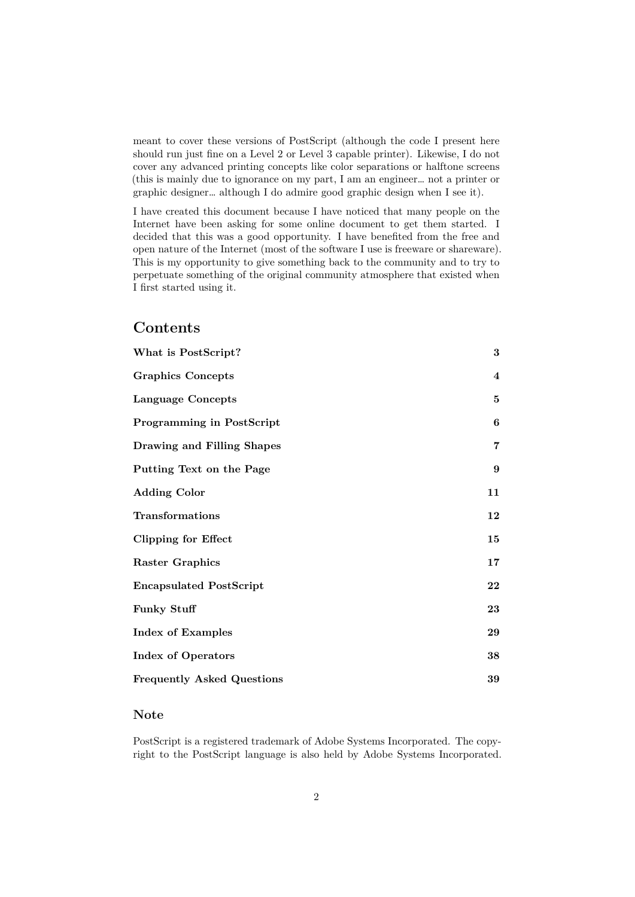meant to cover these versions of PostScript (although the code I present here should run just fine on a Level 2 or Level 3 capable printer). Likewise, I do not cover any advanced printing concepts like color separations or halftone screens (this is mainly due to ignorance on my part, I am an engineer… not a printer or graphic designer… although I do admire good graphic design when I see it).

I have created this document because I have noticed that many people on the Internet have been asking for some online document to get them started. I decided that this was a good opportunity. I have benefited from the free and open nature of the Internet (most of the software I use is freeware or shareware). This is my opportunity to give something back to the community and to try to perpetuate something of the original community atmosphere that existed when I first started using it.

# **Contents**

| What is PostScript?               | $\bf{3}$       |
|-----------------------------------|----------------|
| <b>Graphics Concepts</b>          | $\bf{4}$       |
| Language Concepts                 | 5              |
| <b>Programming in PostScript</b>  | 6              |
| Drawing and Filling Shapes        | $\overline{7}$ |
| Putting Text on the Page          | 9              |
| <b>Adding Color</b>               | 11             |
| Transformations                   | 12             |
| <b>Clipping for Effect</b>        | 15             |
| <b>Raster Graphics</b>            | 17             |
| <b>Encapsulated PostScript</b>    | 22             |
| <b>Funky Stuff</b>                | 23             |
| <b>Index of Examples</b>          | 29             |
| <b>Index of Operators</b>         | 38             |
| <b>Frequently Asked Questions</b> | 39             |

# **[Note](#page-37-1)**

<span id="page-1-0"></span>[PostScript is a registered tradem](#page-38-1)ark of Adobe Systems Incorporated. The copyright to the PostScript language is also held by Adobe Systems Incorporated.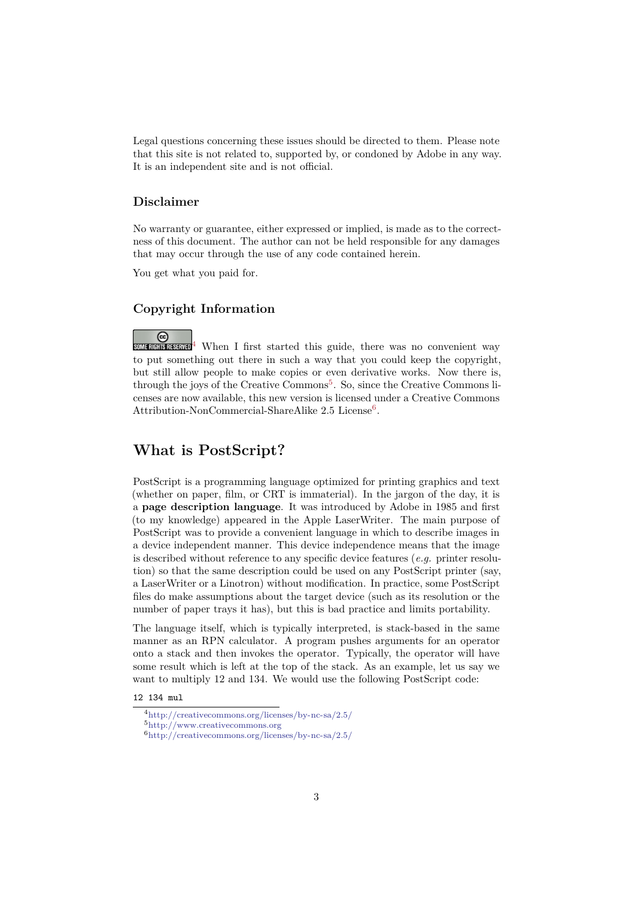Legal questions concerning these issues should be directed to them. Please note that this site is not related to, supported by, or condoned by Adobe in any way. It is an independent site and is not official.

### **Disclaimer**

No warranty or guarantee, either expressed or implied, is made as to the correctness of this document. The author can not be held responsible for any damages that may occur through the use of any code contained herein.

You get what you paid for.

# **Copyright Information**

 $\overline{\mathcal{L}}$   $\overline{\mathcal{L}}$  When I first started this guide, there was no convenient way to put something out there in such a way that you could keep the copyright, but still allow people to make copies or even derivative works. Now there is, through the joys of the Creative Commons<sup>5</sup>. So, since the Creative Commons licenses are n[ow](#page-2-1) available, this new version is licensed under a Creative Commons Attribution-NonCommercial-ShareAlike  $2.5$  License<sup>6</sup>.

# **What is PostScript?**

<span id="page-2-0"></span>PostScript is a programming language optimized for printing graphics and text (whether on paper, film, or CRT is immaterial). In the jargon of the day, it is a **page description language**. It was introduced by Adobe in 1985 and first (to my knowledge) appeared in the Apple LaserWriter. The main purpose of PostScript was to provide a convenient language in which to describe images in a device independent manner. This device independence means that the image is described without reference to any specific device features (*e.g.* printer resolution) so that the same description could be used on any PostScript printer (say, a LaserWriter or a Linotron) without modification. In practice, some PostScript files do make assumptions about the target device (such as its resolution or the number of paper trays it has), but this is bad practice and limits portability.

The language itself, which is typically interpreted, is stack-based in the same manner as an RPN calculator. A program pushes arguments for an operator onto a stack and then invokes the operator. Typically, the operator will have some result which is left at the top of the stack. As an example, let us say we want to multiply 12 and 134. We would use the following PostScript code:

#### 12 134 mul

<sup>4</sup>http://creativecommons.org/licenses/by-nc-sa/2.5/

<sup>5</sup>http://www.creativecommons.org

<span id="page-2-1"></span><sup>6</sup>http://creativecommons.org/licenses/by-nc-sa/2.5/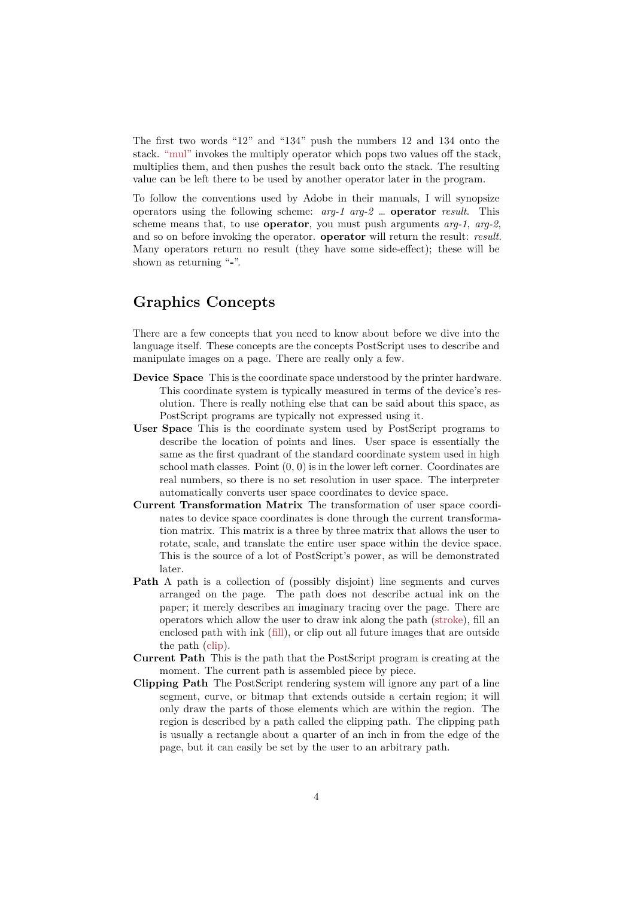The first two words "12" and "134" push the numbers 12 and 134 onto the stack. "mul" invokes the multiply operator which pops two values off the stack, multiplies them, and then pushes the result back onto the stack. The resulting value can be left there to be used by another operator later in the program.

To follow the conventions used by Adobe in their manuals, I will synopsize operat[ors usi](#page-50-0)ng the following scheme: *arg-1 arg-2* … **operator** *result*. This scheme means that, to use **operator**, you must push arguments *arg-1*, *arg-2*, and so on before invoking the operator. **operator** will return the result: *result*. Many operators return no result (they have some side-effect); these will be shown as returning "**-**".

# **Graphics Concepts**

<span id="page-3-0"></span>There are a few concepts that you need to know about before we dive into the language itself. These concepts are the concepts PostScript uses to describe and manipulate images on a page. There are really only a few.

- **Device Space** This is the coordinate space understood by the printer hardware. This coordinate system is typically measured in terms of the device's resolution. There is really nothing else that can be said about this space, as PostScript programs are typically not expressed using it.
- **User Space** This is the coordinate system used by PostScript programs to describe the location of points and lines. User space is essentially the same as the first quadrant of the standard coordinate system used in high school math classes. Point  $(0, 0)$  is in the lower left corner. Coordinates are real numbers, so there is no set resolution in user space. The interpreter automatically converts user space coordinates to device space.
- **Current Transformation Matrix** The transformation of user space coordinates to device space coordinates is done through the current transformation matrix. This matrix is a three by three matrix that allows the user to rotate, scale, and translate the entire user space within the device space. This is the source of a lot of PostScript's power, as will be demonstrated later.
- <span id="page-3-1"></span>**Path** A path is a collection of (possibly disjoint) line segments and curves arranged on the page. The path does not describe actual ink on the paper; it merely describes an imaginary tracing over the page. There are operators which allow the user to draw ink along the path (stroke), fill an enclosed path with ink (fill), or clip out all future images that are outside the path (clip).
- **Current Path** This is the path that the PostScript program is creating at the moment. The current path is assembled piece by piece.
- **Clipping Path** The PostScr[ipt](#page-46-0) rendering system will ignore an[y part o](#page-55-0)f a line segment, [curv](#page-43-0)e, or bitmap that extends outside a certain region; it will only draw the parts of those elements which are within the region. The region is described by a path called the clipping path. The clipping path is usually a rectangle about a quarter of an inch in from the edge of the page, but it can easily be set by the user to an arbitrary path.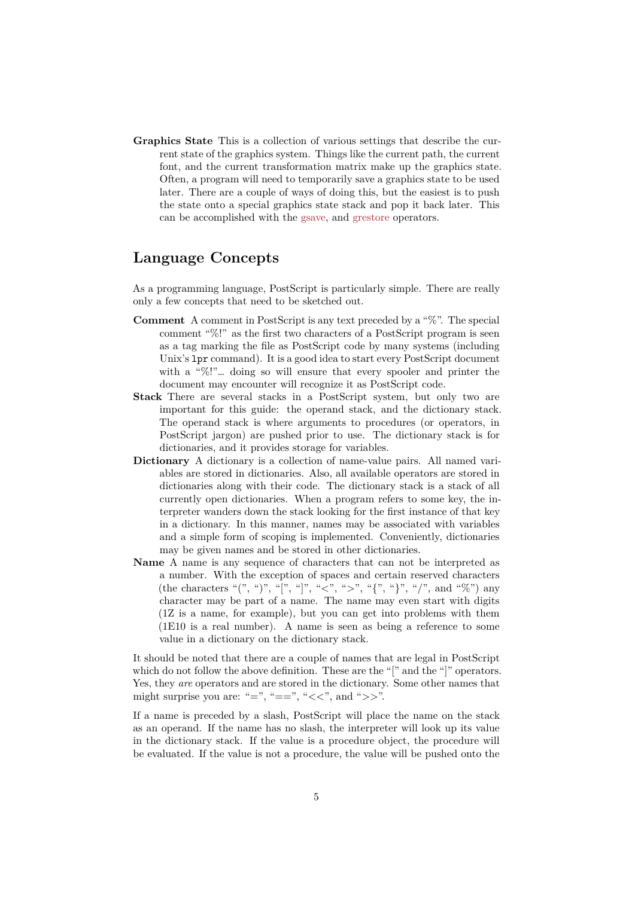**Graphics State** This is a collection of various settings that describe the current state of the graphics system. Things like the current path, the current font, and the current transformation matrix make up the graphics state. Often, a program will need to temporarily save a graphics state to be used later. There are a couple of ways of doing this, but the easiest is to push the state onto a special graphics state stack and pop it back later. This can be accomplished with the gsave, and grestore operators.

# **Language Concepts**

<span id="page-4-0"></span>As a programming language, PostScript is particularly simple. There are really only a few concepts that need to be sketched out.

- **Comment** A comment in PostScript is any text preceded by a "%". The special comment "%!" as the first two characters of a PostScript program is seen as a tag marking the file as PostScript code by many systems (including Unix's lpr command). It is a good idea to start every PostScript document with a "%!"... doing so will ensure that every spooler and printer the document may encounter will recognize it as PostScript code.
- **Stack** There are several stacks in a PostScript system, but only two are important for this guide: the operand stack, and the dictionary stack. The operand stack is where arguments to procedures (or operators, in PostScript jargon) are pushed prior to use. The dictionary stack is for dictionaries, and it provides storage for variables.
- **Dictionary** A dictionary is a collection of name-value pairs. All named variables are stored in dictionaries. Also, all available operators are stored in dictionaries along with their code. The dictionary stack is a stack of all currently open dictionaries. When a program refers to some key, the interpreter wanders down the stack looking for the first instance of that key in a dictionary. In this manner, names may be associated with variables and a simple form of scoping is implemented. Conveniently, dictionaries may be given names and be stored in other dictionaries.
- <span id="page-4-1"></span>**Name** A name is any sequence of characters that can not be interpreted as a number. With the exception of spaces and certain reserved characters (the characters "(", ")", "[", "]", "<", ">", "{", "}", "/", and "%") any character may be part of a name. The name may even start with digits (1Z is a name, for example), but you can get into problems with them (1E10 is a real number). A name is seen as being a reference to some value in a dictionary on the dictionary stack.

<span id="page-4-2"></span>It should be noted that there are a couple of names that are legal in PostScript which do not follow the above definition. These are the "[" and the "]" operators. Yes, they *are* operators and are stored in the dictionary. Some other names that might surprise you are: "=", "==", "<<", and ">>".

If a name is preceded by a slash, PostScript will place the name on the stack as an operand. If the name has no slash, the interpreter will look up its value in the dictionary stack. If the value is a procedure object, the procedure will be evaluated. If the value is not a procedure, the value will be pushed onto the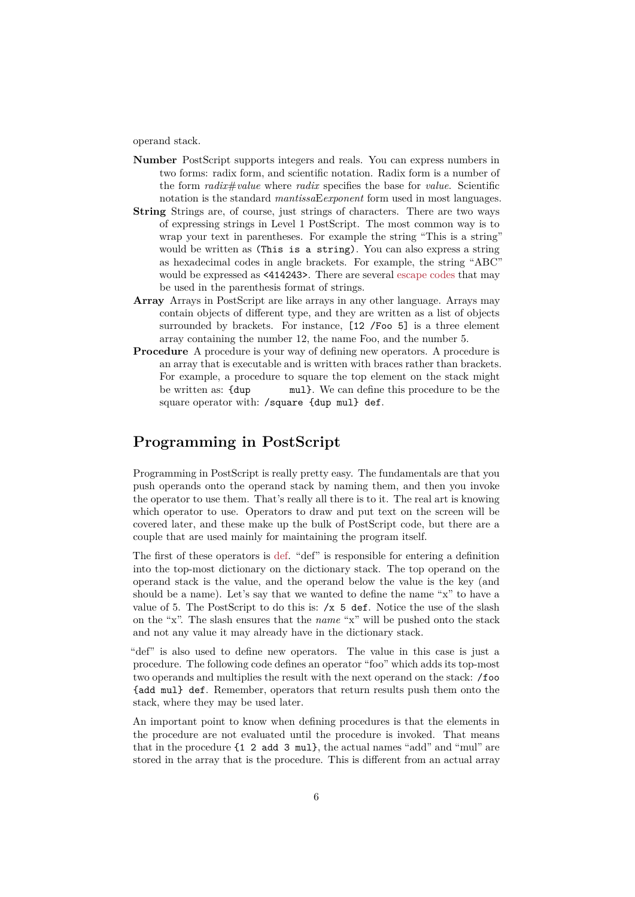operand stack.

- **Number** PostScript supports integers and reals. You can express numbers in two forms: radix form, and scientific notation. Radix form is a number of the form *radix*#*value* where *radix* specifies the base for *value*. Scientific notation is the standard *mantissa*E*exponent* form used in most languages.
- **String** Strings are, of course, just strings of characters. There are two ways of expressing strings in Level 1 PostScript. The most common way is to wrap your text in parentheses. For example the string "This is a string" would be written as (This is a string). You can also express a string as hexadecimal codes in angle brackets. For example, the string "ABC" would be expressed as <414243>. There are several escape codes that may be used in the parenthesis format of strings.
- **Array** Arrays in PostScript are like arrays in any other language. Arrays may contain objects of different type, and they are written as a list of objects surrounded by brackets. For instance, [12 /Foo 5] [is a three](#page-57-0) element array containing the number 12, the name Foo, and the number 5.
- **Procedure** A procedure is your way of defining new operators. A procedure is an array that is executable and is written with braces rather than brackets. For example, a procedure to square the top element on the stack might be written as: {dup mul}. We can define this procedure to be the square operator with: /square {dup mul} def.

# **Programming in PostScript**

<span id="page-5-0"></span>Programming in PostScript is really pretty easy. The fundamentals are that you push operands onto the operand stack by naming them, and then you invoke the operator to use them. That's really all there is to it. The real art is knowing which operator to use. Operators to draw and put text on the screen will be covered later, and these make up the bulk of PostScript code, but there are a couple that are used mainly for maintaining the program itself.

The first of these operators is def. "def" is responsible for entering a definition into the top-most dictionary on the dictionary stack. The top operand on the operand stack is the value, and the operand below the value is the key (and should be a name). Let's say that we wanted to define the name "x" to have a value of 5. The PostScript to [do t](#page-45-0)his is:  $/x$  5 def. Notice the use of the slash on the "x". The slash ensures that the *name* "x" will be pushed onto the stack and not any value it may already have in the dictionary stack.

"def" is also used to define new operators. The value in this case is just a procedure. The following code defines an operator "foo" which adds its top-most two operands and multiplies the result with the next operand on the stack: /foo {add mul} def. Remember, operators that return results push them onto the stack, where they may be used later.

An important point to know when defining procedures is that the elements in the procedure are not evaluated until the procedure is invoked. That means that in the procedure {1 2 add 3 mul}, the actual names "add" and "mul" are stored in the array that is the procedure. This is different from an actual array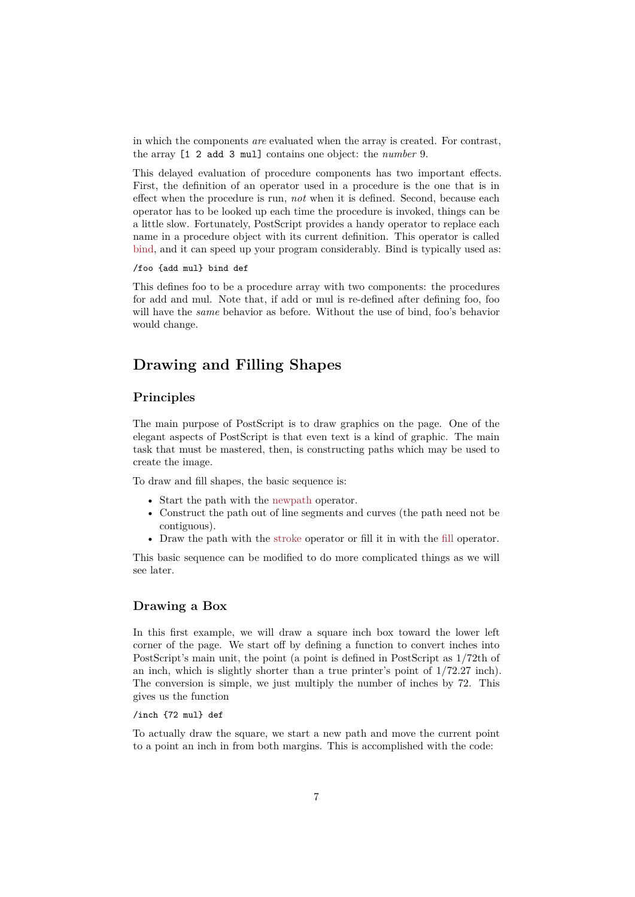in which the components *are* evaluated when the array is created. For contrast, the array [1 2 add 3 mul] contains one object: the *number* 9.

This delayed evaluation of procedure components has two important effects. First, the definition of an operator used in a procedure is the one that is in effect when the procedure is run, *not* when it is defined. Second, because each operator has to be looked up each time the procedure is invoked, things can be a little slow. Fortunately, PostScript provides a handy operator to replace each name in a procedure object with its current definition. This operator is called bind, and it can speed up your program considerably. Bind is typically used as:

#### /foo {add mul} bind def

This defines foo to be a procedure array with two components: the procedures [for a](#page-42-0)dd and mul. Note that, if add or mul is re-defined after defining foo, foo will have the *same* behavior as before. Without the use of bind, foo's behavior would change.

# **Drawing and Filling Shapes**

# <span id="page-6-0"></span>**Principles**

The main purpose of PostScript is to draw graphics on the page. One of the elegant aspects of PostScript is that even text is a kind of graphic. The main task that must be mastered, then, is constructing paths which may be used to create the image.

To draw and fill shapes, the basic sequence is:

- Start the path with the newpath operator.
- Construct the path out of line segments and curves (the path need not be contiguous).
- Draw the path with the stroke operator or fill it in with the fill operator.

This basic sequence can be [modified to](#page-50-1) do more complicated things as we will see later.

#### **Drawing a Box**

In this first example, we will draw a square inch box toward the lower left corner of the page. We start off by defining a function to convert inches into PostScript's main unit, the point (a point is defined in PostScript as 1/72th of an inch, which is slightly shorter than a true printer's point of 1/72.27 inch). The conversion is simple, we just multiply the number of inches by 72. This gives us the function

/inch {72 mul} def

To actually draw the square, we start a new path and move the current point to a point an inch in from both margins. This is accomplished with the code: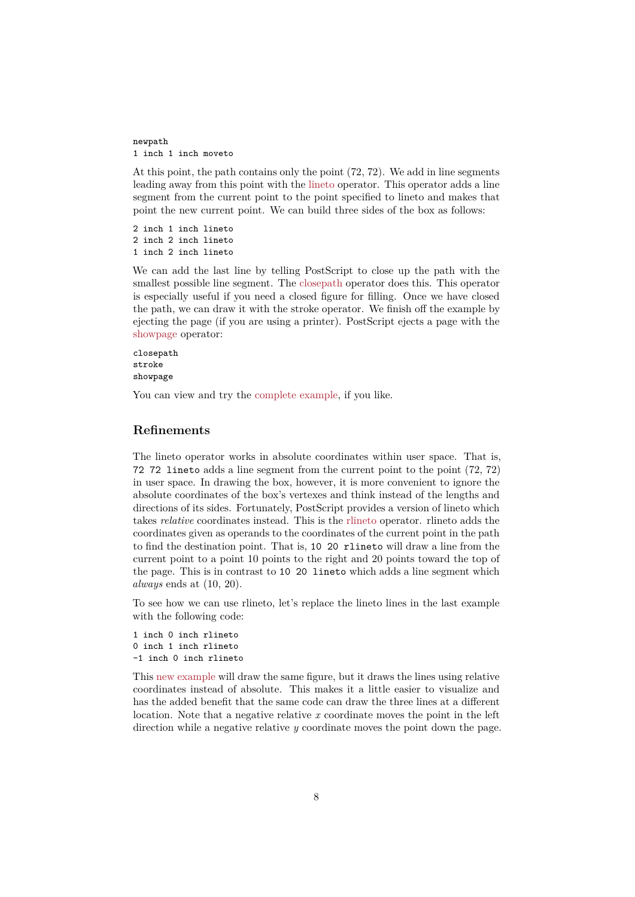newpath 1 inch 1 inch moveto

At this point, the path contains only the point (72, 72). We add in line segments leading away from this point with the lineto operator. This operator adds a line segment from the current point to the point specified to lineto and makes that point the new current point. We can build three sides of the box as follows:

2 inch 1 inch lineto 2 inch 2 inch lineto 1 inch 2 inch lineto

We can add the last line by telling PostScript to close up the path with the smallest possible line segment. The closepath operator does this. This operator is especially useful if you need a closed figure for filling. Once we have closed the path, we can draw it with the stroke operator. We finish off the example by ejecting the page (if you are using a printer). PostScript ejects a page with the showpage operator:

closepath stroke showpage

[You can v](#page-55-1)iew and try the complete example, if you like.

# **Refinements**

The lineto operator work[s in absolute coord](#page-30-0)inates within user space. That is, 72 72 lineto adds a line segment from the current point to the point (72, 72) in user space. In drawing the box, however, it is more convenient to ignore the absolute coordinates of the box's vertexes and think instead of the lengths and directions of its sides. Fortunately, PostScript provides a version of lineto which takes *relative* coordinates instead. This is the rlineto operator. rlineto adds the coordinates given as operands to the coordinates of the current point in the path to find the destination point. That is, 10 20 rlineto will draw a line from the current point to a point 10 points to the right and 20 points toward the top of the page. This is in contrast to 10 20 lineto [which](#page-51-0) adds a line segment which *always* ends at (10, 20).

To see how we can use rlineto, let's replace the lineto lines in the last example with the following code:

```
1 inch 0 inch rlineto
0 inch 1 inch rlineto
-1 inch 0 inch rlineto
```
This new example will draw the same figure, but it draws the lines using relative coordinates instead of absolute. This makes it a little easier to visualize and has the added benefit that the same code can draw the three lines at a different location. Note that a negative relative *x* coordinate moves the point in the left direc[tion while a n](#page-30-1)egative relative *y* coordinate moves the point down the page.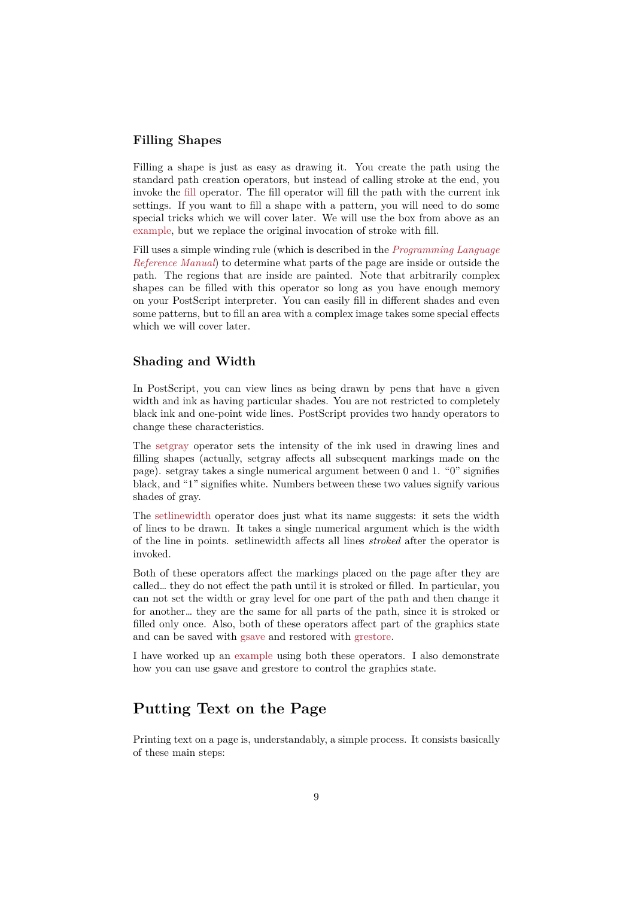# **Filling Shapes**

Filling a shape is just as easy as drawing it. You create the path using the standard path creation operators, but instead of calling stroke at the end, you invoke the fill operator. The fill operator will fill the path with the current ink settings. If you want to fill a shape with a pattern, you will need to do some special tricks which we will cover later. We will use the box from above as an example, but we replace the original invocation of stroke with fill.

Fill uses a [sim](#page-46-0)ple winding rule (which is described in the *Programming Language Reference Manual*) to determine what parts of the page are inside or outside the path. The regions that are inside are painted. Note that arbitrarily complex [shapes c](#page-30-2)an be filled with this operator so long as you have enough memory on your PostScript interpreter. You can easily fill in di[fferent shades and even](#page-58-2) [some patterns, bu](#page-58-2)t to fill an area with a complex image takes some special effects which we will cover later.

### **Shading and Width**

In PostScript, you can view lines as being drawn by pens that have a given width and ink as having particular shades. You are not restricted to completely black ink and one-point wide lines. PostScript provides two handy operators to change these characteristics.

The setgray operator sets the intensity of the ink used in drawing lines and filling shapes (actually, setgray affects all subsequent markings made on the page). setgray takes a single numerical argument between 0 and 1. "0" signifies black, and "1" signifies white. Numbers between these two values signify various shad[es of gra](#page-54-0)y.

The setlinewidth operator does just what its name suggests: it sets the width of lines to be drawn. It takes a single numerical argument which is the width of the line in points. setlinewidth affects all lines *stroked* after the operator is invoked.

Bot[h of these op](#page-54-1)erators affect the markings placed on the page after they are called… they do not effect the path until it is stroked or filled. In particular, you can not set the width or gray level for one part of the path and then change it for another… they are the same for all parts of the path, since it is stroked or filled only once. Also, both of these operators affect part of the graphics state and can be saved with gsave and restored with grestore.

I have worked up an example using both these operators. I also demonstrate how you can use gsave and grestore to control the graphics state.

# **Putting Text [on th](#page-33-0)e Page**

<span id="page-8-0"></span>Printing text on a page is, understandably, a simple process. It consists basically of these main steps: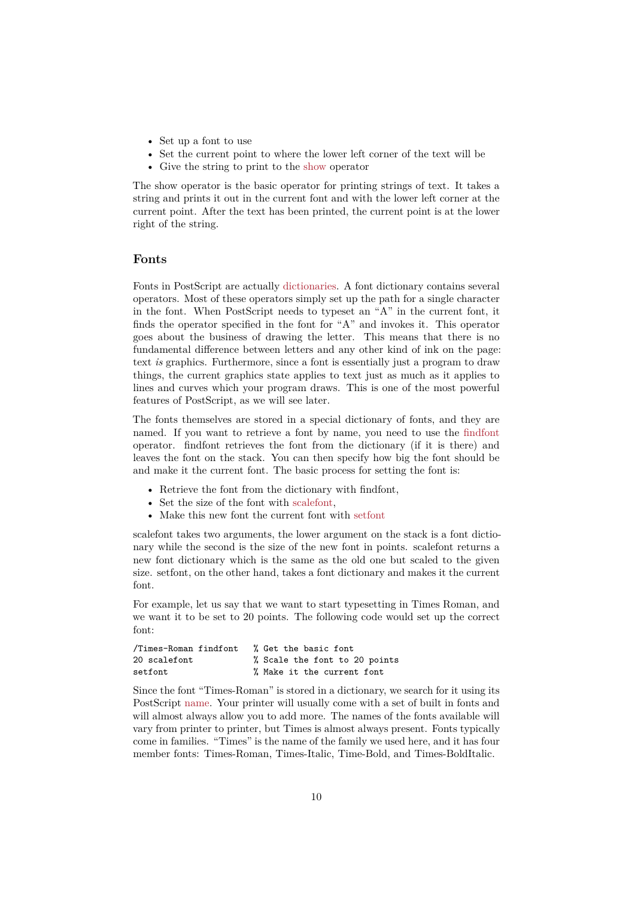- Set up a font to use
- Set the current point to where the lower left corner of the text will be
- Give the string to print to the show operator

The show operator is the basic operator for printing strings of text. It takes a string and prints it out in the current font and with the lower left corner at the current point. After the text has bee[n prin](#page-55-2)ted, the current point is at the lower right of the string.

### **Fonts**

Fonts in PostScript are actually dictionaries. A font dictionary contains several operators. Most of these operators simply set up the path for a single character in the font. When PostScript needs to typeset an "A" in the current font, it finds the operator specified in the font for "A" and invokes it. This operator goes about the business of dra[wing the let](#page-4-1)ter. This means that there is no fundamental difference between letters and any other kind of ink on the page: text *is* graphics. Furthermore, since a font is essentially just a program to draw things, the current graphics state applies to text just as much as it applies to lines and curves which your program draws. This is one of the most powerful features of PostScript, as we will see later.

The fonts themselves are stored in a special dictionary of fonts, and they are named. If you want to retrieve a font by name, you need to use the findfont operator. findfont retrieves the font from the dictionary (if it is there) and leaves the font on the stack. You can then specify how big the font should be and make it the current font. The basic process for setting the font is:

- Retrieve the font from the dictionary with findfont,
- Set the size of the font with scalefont,
- Make this new font the current font with setfont

scalefont takes two arguments, the lower argument on the stack is a font dictionary while the second is the size of the new font in points. scalefont returns a new font dictionary which is the [same as t](#page-53-0)he old one but scaled to the given size. setfont, on the other hand, takes a font dic[tionary](#page-53-1) and makes it the current font.

For example, let us say that we want to start typesetting in Times Roman, and we want it to be set to 20 points. The following code would set up the correct font:

| /Times-Roman findfont | % Get the basic font          |
|-----------------------|-------------------------------|
| 20 scalefont          | % Scale the font to 20 points |
| setfont               | % Make it the current font    |

Since the font "Times-Roman" is stored in a dictionary, we search for it using its PostScript name. Your printer will usually come with a set of built in fonts and will almost always allow you to add more. The names of the fonts available will vary from printer to printer, but Times is almost always present. Fonts typically come in families. "Times" is the name of the family we used here, and it has four member fo[nts: T](#page-4-2)imes-Roman, Times-Italic, Time-Bold, and Times-BoldItalic.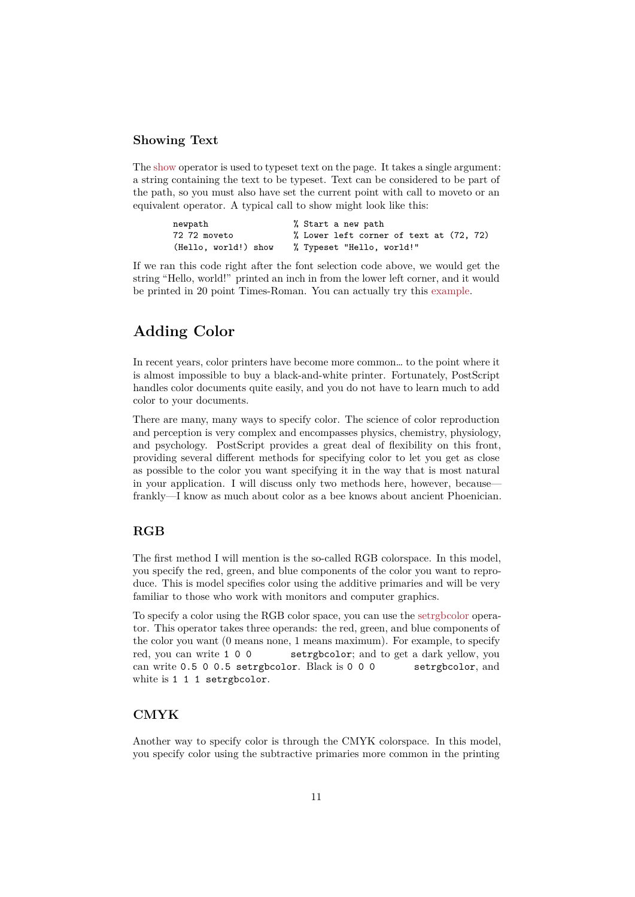# **Showing Text**

The show operator is used to typeset text on the page. It takes a single argument: a string containing the text to be typeset. Text can be considered to be part of the path, so you must also have set the current point with call to moveto or an equivalent operator. A typical call to show might look like this:

| newpath              | % Start a new path                      |
|----------------------|-----------------------------------------|
| 72 72 moveto         | % Lower left corner of text at (72, 72) |
| (Hello, world!) show | % Typeset "Hello, world!"               |

If we ran this code right after the font selection code above, we would get the string "Hello, world!" printed an inch in from the lower left corner, and it would be printed in 20 point Times-Roman. You can actually try this example.

# **Adding Color**

<span id="page-10-0"></span>In recent years, color printers have become more common… to the point where it is almost impossible to buy a black-and-white printer. Fortunately, PostScript handles color documents quite easily, and you do not have to learn much to add color to your documents.

There are many, many ways to specify color. The science of color reproduction and perception is very complex and encompasses physics, chemistry, physiology, and psychology. PostScript provides a great deal of flexibility on this front, providing several different methods for specifying color to let you get as close as possible to the color you want specifying it in the way that is most natural in your application. I will discuss only two methods here, however, because frankly—I know as much about color as a bee knows about ancient Phoenician.

# **RGB**

The first method I will mention is the so-called RGB colorspace. In this model, you specify the red, green, and blue components of the color you want to reproduce. This is model specifies color using the additive primaries and will be very familiar to those who work with monitors and computer graphics.

To specify a color using the RGB color space, you can use the setrgbcolor operator. This operator takes three operands: the red, green, and blue components of the color you want (0 means none, 1 means maximum). For example, to specify red, you can write 1 0 0 setrgbcolor; and to get a dark yellow, you can write 0.5 0 0.5 setrgbcolor. Black is 0 0 0 [setrgbcolo](#page-55-3)r, and white is 1 1 1 setrgbcolor.

# **CMYK**

Another way to specify color is through the CMYK colorspace. In this model, you specify color using the subtractive primaries more common in the printing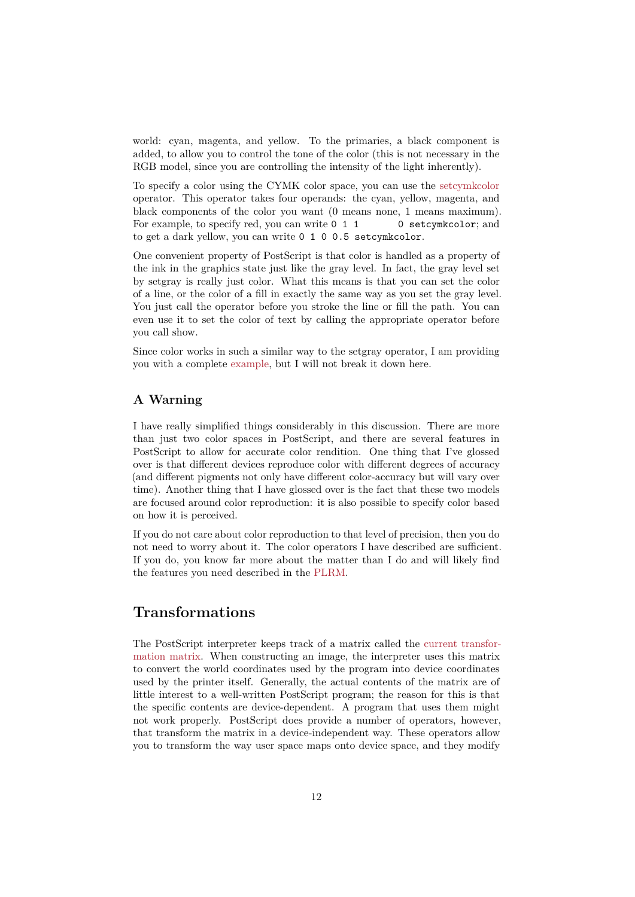world: cyan, magenta, and yellow. To the primaries, a black component is added, to allow you to control the tone of the color (this is not necessary in the RGB model, since you are controlling the intensity of the light inherently).

To specify a color using the CYMK color space, you can use the setcymkcolor operator. This operator takes four operands: the cyan, yellow, magenta, and black components of the color you want (0 means none, 1 means maximum). For example, to specify red, you can write 0 1 1 0 setcymkcolor; and to get a dark yellow, you can write 0 1 0 0.5 setcymkcolor.

One convenient property of PostScript is that color is handled as a property of the ink in the graphics state just like the gray level. In fact, the gray level set by setgray is really just color. What this means is that you can set the color of a line, or the color of a fill in exactly the same way as you set the gray level. You just call the operator before you stroke the line or fill the path. You can even use it to set the color of text by calling the appropriate operator before you call show.

Since color works in such a similar way to the setgray operator, I am providing you with a complete example, but I will not break it down here.

# **A Warning**

I have really simplifi[ed things](#page-31-0) considerably in this discussion. There are more than just two color spaces in PostScript, and there are several features in PostScript to allow for accurate color rendition. One thing that I've glossed over is that different devices reproduce color with different degrees of accuracy (and different pigments not only have different color-accuracy but will vary over time). Another thing that I have glossed over is the fact that these two models are focused around color reproduction: it is also possible to specify color based on how it is perceived.

If you do not care about color reproduction to that level of precision, then you do not need to worry about it. The color operators I have described are sufficient. If you do, you know far more about the matter than I do and will likely find the features you need described in the PLRM.

# **Transformations**

<span id="page-11-0"></span>The PostScript interpreter keeps track of a matrix called the current transformation matrix. When constructing an image, the interpreter uses this matrix to convert the world coordinates used by the program into device coordinates used by the printer itself. Generally, the actual contents of the matrix are of little interest to a well-written PostScript program; the reaso[n for this is that](#page-3-1) [the specific con](#page-3-1)tents are device-dependent. A program that uses them might not work properly. PostScript does provide a number of operators, however, that transform the matrix in a device-independent way. These operators allow you to transform the way user space maps onto device space, and they modify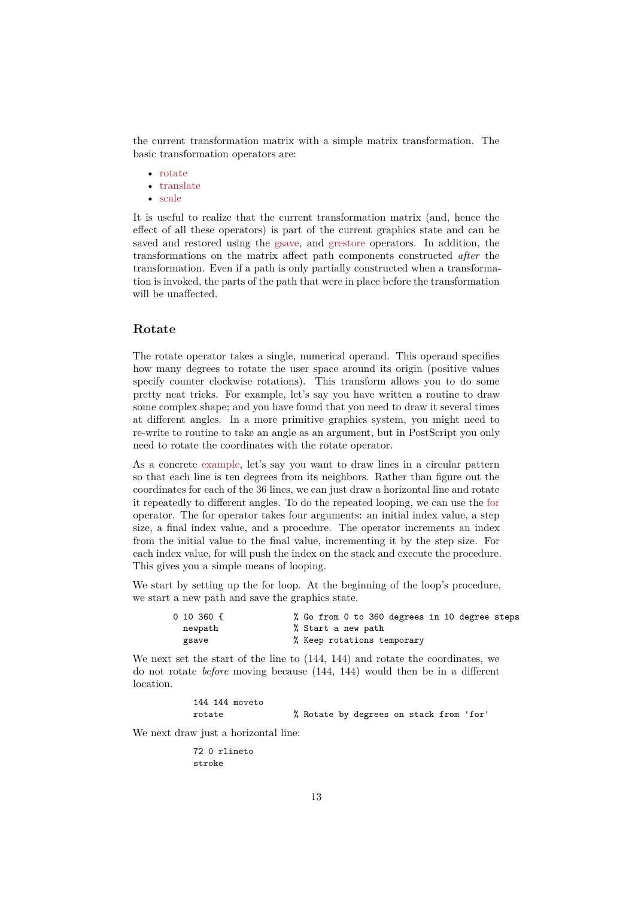the current transformation matrix with a simple matrix transformation. The basic transformation operators are:

- rotate
- translate
- scale

It is useful to realize that the current transformation matrix (and, hence the effect [of all](#page-52-0) these operators) is part of the current graphics state and can be saved [and rest](#page-56-0)ored using the gsave, and grestore operators. In addition, the trans[forma](#page-53-2)tions on the matrix affect path components constructed *after* the transformation. Even if a path is only partially constructed when a transformation is invoked, the parts of the path that were in place before the transformation will be unaffected.

# **Rotate**

The rotate operator takes a single, numerical operand. This operand specifies how many degrees to rotate the user space around its origin (positive values specify counter clockwise rotations). This transform allows you to do some pretty neat tricks. For example, let's say you have written a routine to draw some complex shape; and you have found that you need to draw it several times at different angles. In a more primitive graphics system, you might need to re-write to routine to take an angle as an argument, but in PostScript you only need to rotate the coordinates with the rotate operator.

As a concrete example, let's say you want to draw lines in a circular pattern so that each line is ten degrees from its neighbors. Rather than figure out the coordinates for each of the 36 lines, we can just draw a horizontal line and rotate it repeatedly to different angles. To do the repeated looping, we can use the for operator. The [for opera](#page-32-0)tor takes four arguments: an initial index value, a step size, a final index value, and a procedure. The operator increments an index from the initial value to the final value, incrementing it by the step size. For each index value, for will push the index on the stack and execute the proced[ure.](#page-47-0) This gives you a simple means of looping.

We start by setting up the for loop. At the beginning of the loop's procedure, we start a new path and save the graphics state.

| $0$ 10 360 $\{$ | % Go from 0 to 360 degrees in 10 degree steps |
|-----------------|-----------------------------------------------|
| newpath         | % Start a new path                            |
| gsave           | % Keep rotations temporary                    |

We next set the start of the line to (144, 144) and rotate the coordinates, we do not rotate *before* moving because (144, 144) would then be in a different location.

> 144 144 moveto rotate % Rotate by degrees on stack from 'for'

We next draw just a horizontal line:

72 0 rlineto stroke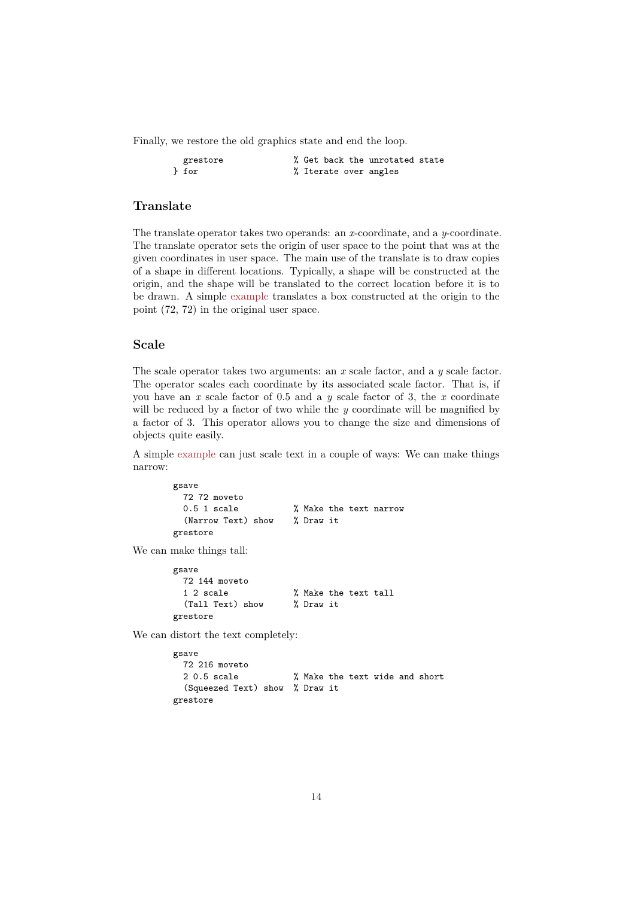Finally, we restore the old graphics state and end the loop.

| grestore |  |  | % Get back the unrotated state |  |
|----------|--|--|--------------------------------|--|
| } for    |  |  | % Iterate over angles          |  |

### **Translate**

The translate operator takes two operands: an *x*-coordinate, and a *y*-coordinate. The translate operator sets the origin of user space to the point that was at the given coordinates in user space. The main use of the translate is to draw copies of a shape in different locations. Typically, a shape will be constructed at the origin, and the shape will be translated to the correct location before it is to be drawn. A simple example translates a box constructed at the origin to the point (72, 72) in the original user space.

#### **Scale**

The scale operator takes two arguments: an *x* scale factor, and a *y* scale factor. The operator scales each coordinate by its associated scale factor. That is, if you have an *x* scale factor of 0.5 and a *y* scale factor of 3, the *x* coordinate will be reduced by a factor of two while the *y* coordinate will be magnified by a factor of 3. This operator allows you to change the size and dimensions of objects quite easily.

A simple example can just scale text in a couple of ways: We can make things narrow:

```
gsave
  72 72 moveto
  0.5 1 scale \frac{1}{2} Make the text narrow
  (Narrow Text) show % Draw it
grestore
```
We can make things tall:

```
gsave
 72 144 moveto
 1 2 scale % Make the text tall
 (Tall Text) show % Draw it
grestore
```
We can distort the text completely:

```
gsave
 72 216 moveto
 2 0.5 scale % Make the text wide and short
  (Squeezed Text) show % Draw it
grestore
```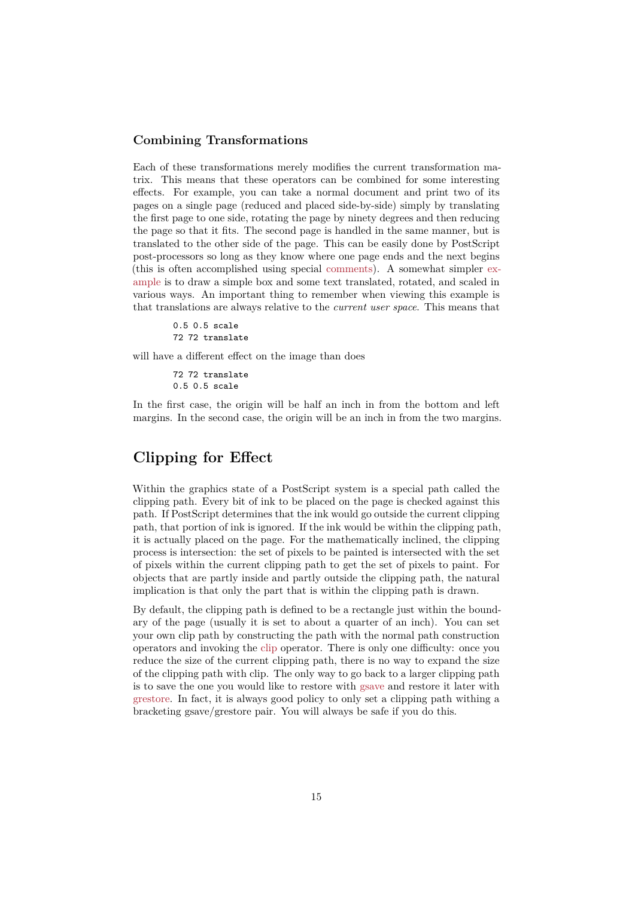## **Combining Transformations**

Each of these transformations merely modifies the current transformation matrix. This means that these operators can be combined for some interesting effects. For example, you can take a normal document and print two of its pages on a single page (reduced and placed side-by-side) simply by translating the first page to one side, rotating the page by ninety degrees and then reducing the page so that it fits. The second page is handled in the same manner, but is translated to the other side of the page. This can be easily done by PostScript post-processors so long as they know where one page ends and the next begins (this is often accomplished using special comments). A somewhat simpler example is to draw a simple box and some text translated, rotated, and scaled in various ways. An important thing to remember when viewing this example is that translations are always relative to the *current user space*. This means that

> 0.5 0.5 scale 72 72 translate

will have a different effect on the image than does

72 72 translate 0.5 0.5 scale

In the first case, the origin will be half an inch in from the bottom and left margins. In the second case, the origin will be an inch in from the two margins.

# **Clipping for Effect**

<span id="page-14-0"></span>Within the graphics state of a PostScript system is a special path called the clipping path. Every bit of ink to be placed on the page is checked against this path. If PostScript determines that the ink would go outside the current clipping path, that portion of ink is ignored. If the ink would be within the clipping path, it is actually placed on the page. For the mathematically inclined, the clipping process is intersection: the set of pixels to be painted is intersected with the set of pixels within the current clipping path to get the set of pixels to paint. For objects that are partly inside and partly outside the clipping path, the natural implication is that only the part that is within the clipping path is drawn.

By default, the clipping path is defined to be a rectangle just within the boundary of the page (usually it is set to about a quarter of an inch). You can set your own clip path by constructing the path with the normal path construction operators and invoking the clip operator. There is only one difficulty: once you reduce the size of the current clipping path, there is no way to expand the size of the clipping path with clip. The only way to go back to a larger clipping path is to save the one you would like to restore with gsave and restore it later with grestore. In fact, it is alwa[ys go](#page-43-0)od policy to only set a clipping path withing a bracketing gsave/grestore pair. You will always be safe if you do this.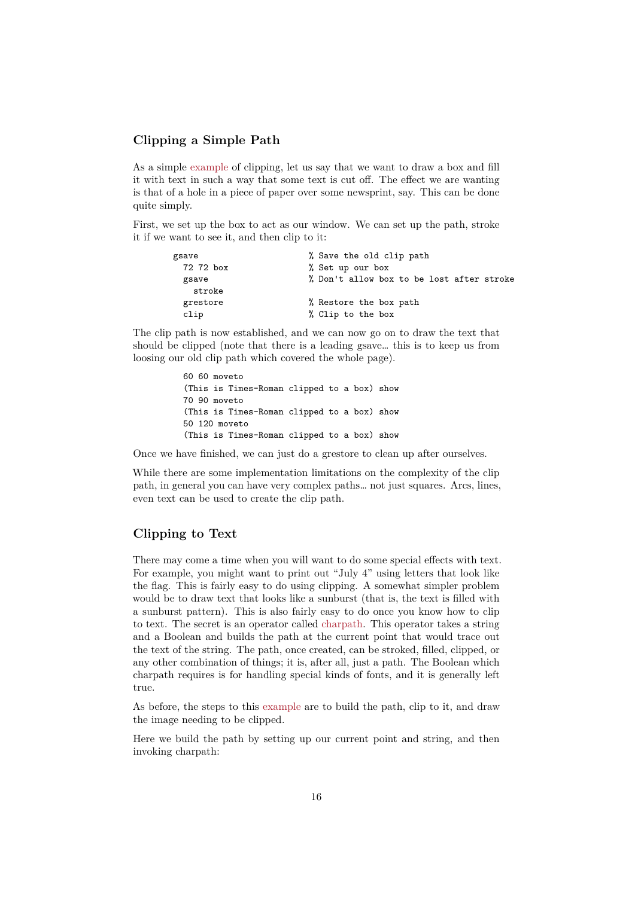# **Clipping a Simple Path**

As a simple example of clipping, let us say that we want to draw a box and fill it with text in such a way that some text is cut off. The effect we are wanting is that of a hole in a piece of paper over some newsprint, say. This can be done quite simply.

First, we se[t up the](#page-29-0) box to act as our window. We can set up the path, stroke it if we want to see it, and then clip to it:

| gsave           | % Save the old clip path                  |
|-----------------|-------------------------------------------|
| 72 72 box       | % Set up our box                          |
| gsave<br>stroke | % Don't allow box to be lost after stroke |
| grestore        | % Restore the box path                    |
| clip            | % Clip to the box                         |

The clip path is now established, and we can now go on to draw the text that should be clipped (note that there is a leading gsave… this is to keep us from loosing our old clip path which covered the whole page).

```
60 60 moveto
(This is Times-Roman clipped to a box) show
70 90 moveto
(This is Times-Roman clipped to a box) show
50 120 moveto
(This is Times-Roman clipped to a box) show
```
Once we have finished, we can just do a grestore to clean up after ourselves.

While there are some implementation limitations on the complexity of the clip path, in general you can have very complex paths… not just squares. Arcs, lines, even text can be used to create the clip path.

# **Clipping to Text**

There may come a time when you will want to do some special effects with text. For example, you might want to print out "July 4" using letters that look like the flag. This is fairly easy to do using clipping. A somewhat simpler problem would be to draw text that looks like a sunburst (that is, the text is filled with a sunburst pattern). This is also fairly easy to do once you know how to clip to text. The secret is an operator called charpath. This operator takes a string and a Boolean and builds the path at the current point that would trace out the text of the string. The path, once created, can be stroked, filled, clipped, or any other combination of things; it is, after all, just a path. The Boolean which charpath requires is for handling special [kinds of](#page-43-1) fonts, and it is generally left true.

As before, the steps to this example are to build the path, clip to it, and draw the image needing to be clipped.

Here we build the path by setting up our current point and string, and then invoking charpath: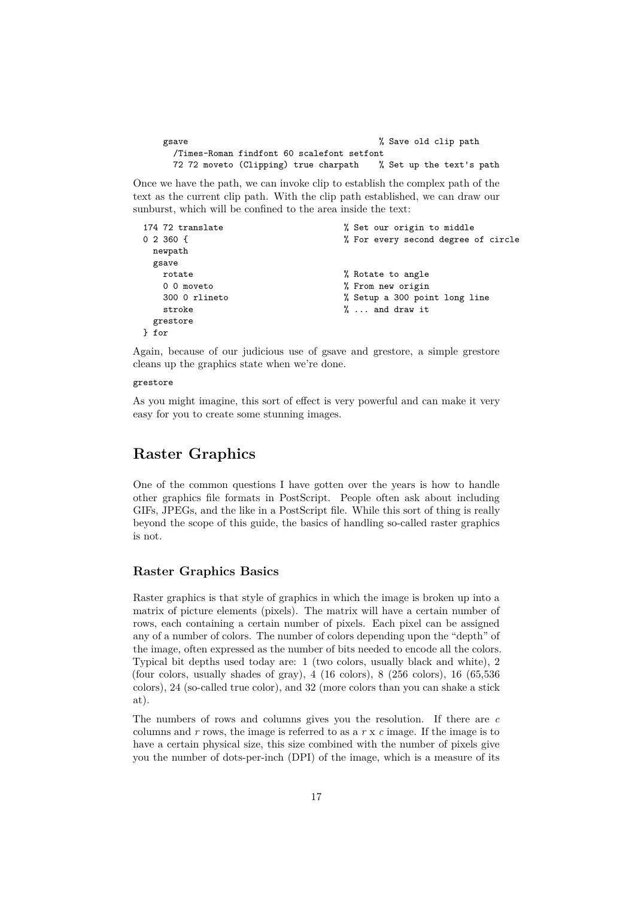```
gsave \% Save old clip path
 /Times-Roman findfont 60 scalefont setfont
 72 72 moveto (Clipping) true charpath % Set up the text's path
```
Once we have the path, we can invoke clip to establish the complex path of the text as the current clip path. With the clip path established, we can draw our sunburst, which will be confined to the area inside the text:

```
174 72 translate \% Set our origin to middle
0 2 360 { \% For every second degree of circle
 newpath
 gsave
  rotate \% Rotate to angle
  0 0 moveto \frac{1}{2} Trom new origin
  300 0 rlineto % Setup a 300 point long line
  stroke \gamma, and draw it
 grestore
} for
```
Again, because of our judicious use of gsave and grestore, a simple grestore cleans up the graphics state when we're done.

#### grestore

As you might imagine, this sort of effect is very powerful and can make it very easy for you to create some stunning images.

# <span id="page-16-0"></span>**Raster Graphics**

One of the common questions I have gotten over the years is how to handle other graphics file formats in PostScript. People often ask about including GIFs, JPEGs, and the like in a PostScript file. While this sort of thing is really beyond the scope of this guide, the basics of handling so-called raster graphics is not.

# **Raster Graphics Basics**

Raster graphics is that style of graphics in which the image is broken up into a matrix of picture elements (pixels). The matrix will have a certain number of rows, each containing a certain number of pixels. Each pixel can be assigned any of a number of colors. The number of colors depending upon the "depth" of the image, often expressed as the number of bits needed to encode all the colors. Typical bit depths used today are: 1 (two colors, usually black and white), 2 (four colors, usually shades of gray), 4 (16 colors), 8 (256 colors), 16 (65,536 colors), 24 (so-called true color), and 32 (more colors than you can shake a stick at).

The numbers of rows and columns gives you the resolution. If there are *c* columns and *r* rows, the image is referred to as a *r* x *c* image. If the image is to have a certain physical size, this size combined with the number of pixels give you the number of dots-per-inch (DPI) of the image, which is a measure of its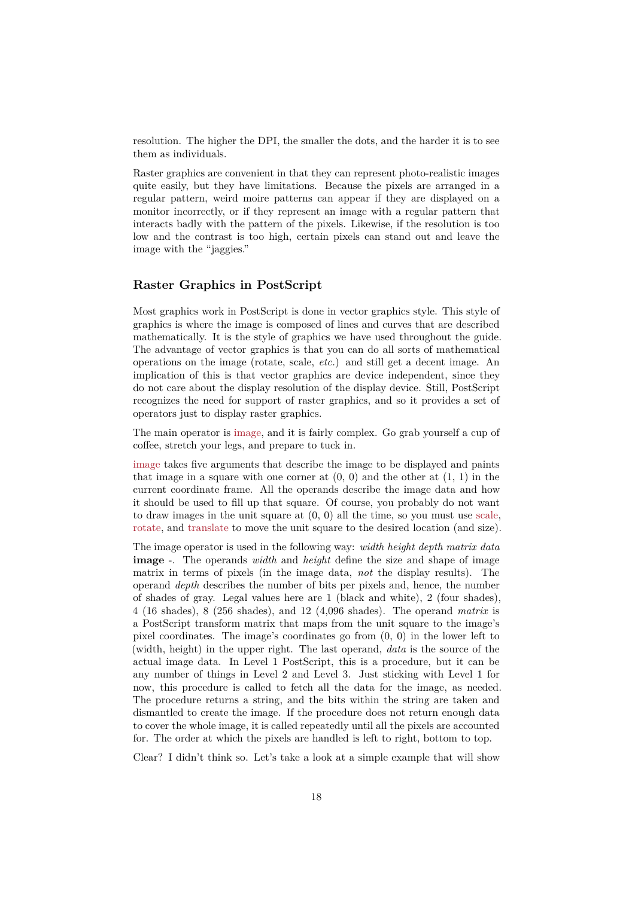resolution. The higher the DPI, the smaller the dots, and the harder it is to see them as individuals.

Raster graphics are convenient in that they can represent photo-realistic images quite easily, but they have limitations. Because the pixels are arranged in a regular pattern, weird moire patterns can appear if they are displayed on a monitor incorrectly, or if they represent an image with a regular pattern that interacts badly with the pattern of the pixels. Likewise, if the resolution is too low and the contrast is too high, certain pixels can stand out and leave the image with the "jaggies."

# **Raster Graphics in PostScript**

Most graphics work in PostScript is done in vector graphics style. This style of graphics is where the image is composed of lines and curves that are described mathematically. It is the style of graphics we have used throughout the guide. The advantage of vector graphics is that you can do all sorts of mathematical operations on the image (rotate, scale, *etc.*) and still get a decent image. An implication of this is that vector graphics are device independent, since they do not care about the display resolution of the display device. Still, PostScript recognizes the need for support of raster graphics, and so it provides a set of operators just to display raster graphics.

The main operator is image, and it is fairly complex. Go grab yourself a cup of coffee, stretch your legs, and prepare to tuck in.

image takes five arguments that describe the image to be displayed and paints that image in a square with one corner at  $(0, 0)$  and the other at  $(1, 1)$  in the current coordinate fr[ame. A](#page-48-0)ll the operands describe the image data and how it should be used to fill up that square. Of course, you probably do not want [to dra](#page-48-0)w images in the unit square at  $(0, 0)$  all the time, so you must use scale, rotate, and translate to move the unit square to the desired location (and size).

The image operator is used in the following way: *width height depth matrix data* **image** -. The operands *width* and *height* define the size and shape of image matrix in t[erms of p](#page-56-0)ixels (in the image data, *not* the display results). [The](#page-53-2) [operan](#page-52-0)d *depth* describes the number of bits per pixels and, hence, the number of shades of gray. Legal values here are 1 (black and white), 2 (four shades), 4 (16 shades), 8 (256 shades), and 12 (4,096 shades). The operand *matrix* is a PostScript transform matrix that maps from the unit square to the image's pixel coordinates. The image's coordinates go from (0, 0) in the lower left to (width, height) in the upper right. The last operand, *data* is the source of the actual image data. In Level 1 PostScript, this is a procedure, but it can be any number of things in Level 2 and Level 3. Just sticking with Level 1 for now, this procedure is called to fetch all the data for the image, as needed. The procedure returns a string, and the bits within the string are taken and dismantled to create the image. If the procedure does not return enough data to cover the whole image, it is called repeatedly until all the pixels are accounted for. The order at which the pixels are handled is left to right, bottom to top.

Clear? I didn't think so. Let's take a look at a simple example that will show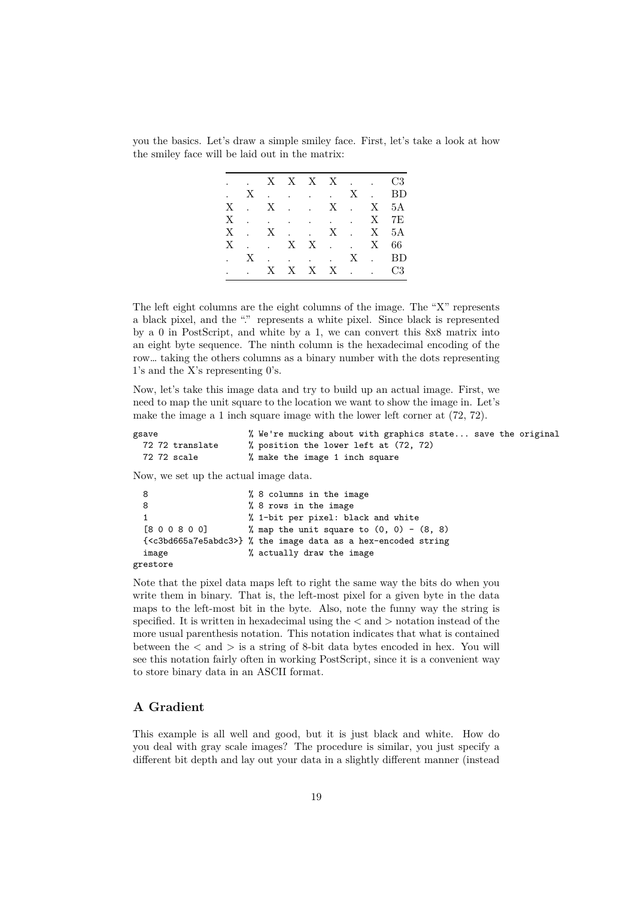you the basics. Let's draw a simple smiley face. First, let's take a look at how the smiley face will be laid out in the matrix:

|  |  |  |  | $\ldots$ X X X X $\ldots$ C3                                                                          |
|--|--|--|--|-------------------------------------------------------------------------------------------------------|
|  |  |  |  | . X X . BD                                                                                            |
|  |  |  |  | $X \quad . \quad X \quad . \qquad . \qquad X \quad . \qquad X \quad . \qquad 5A$                      |
|  |  |  |  | $\mathbf{X} \quad . \qquad . \qquad . \qquad . \qquad . \qquad . \qquad \mathbf{X} \quad \mathbf{7E}$ |
|  |  |  |  | $X \quad . \quad X \quad . \qquad . \qquad X \quad . \qquad X \quad 5A$                               |
|  |  |  |  | $X \t X \t X \t X \t X \t X \t 66$                                                                    |
|  |  |  |  | . X X . BD                                                                                            |
|  |  |  |  | $\therefore$ X X X X $\therefore$ C3                                                                  |

The left eight columns are the eight columns of the image. The "X" represents a black pixel, and the "." represents a white pixel. Since black is represented by a 0 in PostScript, and white by a 1, we can convert this 8x8 matrix into an eight byte sequence. The ninth column is the hexadecimal encoding of the row… taking the others columns as a binary number with the dots representing 1's and the X's representing 0's.

Now, let's take this image data and try to build up an actual image. First, we need to map the unit square to the location we want to show the image in. Let's make the image a 1 inch square image with the lower left corner at (72, 72).

| gsave           | % We're mucking about with graphics state save the original |  |
|-----------------|-------------------------------------------------------------|--|
| 72 72 translate | % position the lower left at (72, 72)                       |  |
| 72 72 scale     | % make the image 1 inch square                              |  |

Now, we set up the actual image data.

| 8        | % 8 columns in the image                                                       |
|----------|--------------------------------------------------------------------------------|
| 8        | % 8 rows in the image                                                          |
|          | % 1-bit per pixel: black and white                                             |
| [800800] | % map the unit square to $(0, 0) - (8, 8)$                                     |
|          | $\{\langle c3bd665a7e5abdc3\rangle\}$ % the image data as a hex-encoded string |
| image    | % actually draw the image                                                      |
| grestore |                                                                                |

Note that the pixel data maps left to right the same way the bits do when you write them in binary. That is, the left-most pixel for a given byte in the data maps to the left-most bit in the byte. Also, note the funny way the string is specified. It is written in hexadecimal using the  $\langle$  and  $\rangle$  notation instead of the more usual parenthesis notation. This notation indicates that what is contained between the  $\langle$  and  $\rangle$  is a string of 8-bit data bytes encoded in hex. You will see this notation fairly often in working PostScript, since it is a convenient way to store binary data in an ASCII format.

# **A Gradient**

This example is all well and good, but it is just black and white. How do you deal with gray scale images? The procedure is similar, you just specify a different bit depth and lay out your data in a slightly different manner (instead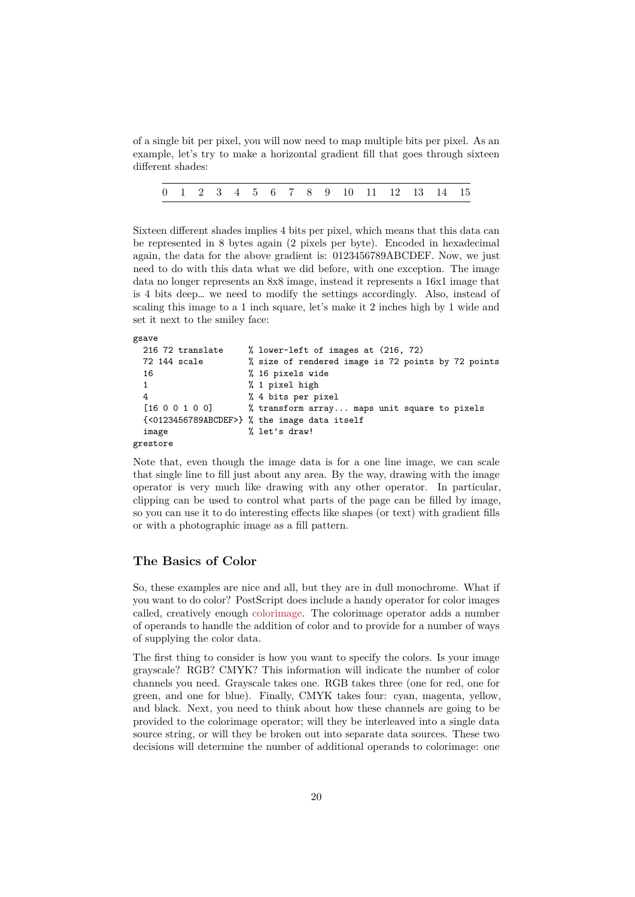of a single bit per pixel, you will now need to map multiple bits per pixel. As an example, let's try to make a horizontal gradient fill that goes through sixteen different shades:

| 0 1 2 3 4 5 6 7 8 9 10 11 12 13 14 15 |  |  |  |  |  |  |  |  |  |  |  |  |  |  |  |  |
|---------------------------------------|--|--|--|--|--|--|--|--|--|--|--|--|--|--|--|--|
|---------------------------------------|--|--|--|--|--|--|--|--|--|--|--|--|--|--|--|--|

Sixteen different shades implies 4 bits per pixel, which means that this data can be represented in 8 bytes again (2 pixels per byte). Encoded in hexadecimal again, the data for the above gradient is: 0123456789ABCDEF. Now, we just need to do with this data what we did before, with one exception. The image data no longer represents an 8x8 image, instead it represents a 16x1 image that is 4 bits deep… we need to modify the settings accordingly. Also, instead of scaling this image to a 1 inch square, let's make it 2 inches high by 1 wide and set it next to the smiley face:

#### gsave

```
216 72 translate % lower-left of images at (216, 72)
 72 144 scale % size of rendered image is 72 points by 72 points
 16 % 16 pixels wide
 1 % 1 pixel high
 4 % 4 bits per pixel
 [16 0 0 1 0 0] % transform array... maps unit square to pixels
 {<0123456789ABCDEF>} % the image data itself
 image % let's draw!
grestore
```
Note that, even though the image data is for a one line image, we can scale that single line to fill just about any area. By the way, drawing with the image operator is very much like drawing with any other operator. In particular, clipping can be used to control what parts of the page can be filled by image, so you can use it to do interesting effects like shapes (or text) with gradient fills or with a photographic image as a fill pattern.

### **The Basics of Color**

So, these examples are nice and all, but they are in dull monochrome. What if you want to do color? PostScript does include a handy operator for color images called, creatively enough colorimage. The colorimage operator adds a number of operands to handle the addition of color and to provide for a number of ways of supplying the color data.

The first thing to consider is how you want to specify the colors. Is your image grayscale? RGB? CMY[K? This info](#page-44-0)rmation will indicate the number of color channels you need. Grayscale takes one. RGB takes three (one for red, one for green, and one for blue). Finally, CMYK takes four: cyan, magenta, yellow, and black. Next, you need to think about how these channels are going to be provided to the colorimage operator; will they be interleaved into a single data source string, or will they be broken out into separate data sources. These two decisions will determine the number of additional operands to colorimage: one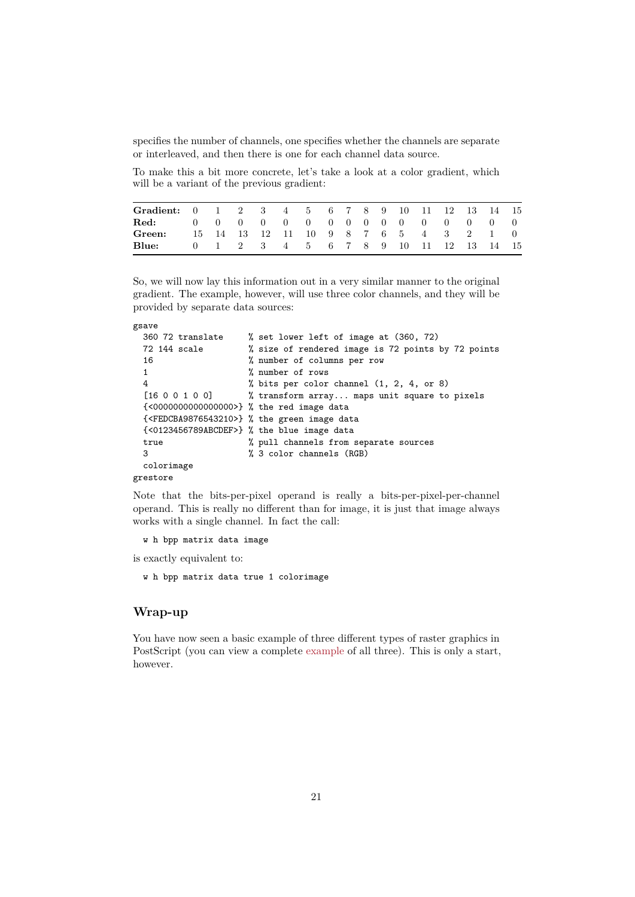specifies the number of channels, one specifies whether the channels are separate or interleaved, and then there is one for each channel data source.

To make this a bit more concrete, let's take a look at a color gradient, which will be a variant of the previous gradient:

| Gradient: 0 1 2 3 4 5 6 7 8 9 10 11 12 13 14 15 |  |  |                                       |  |  |  |  |  |
|-------------------------------------------------|--|--|---------------------------------------|--|--|--|--|--|
| Red: 0 0 0 0 0 0 0 0 0 0 0 0 0 0 0 0 0          |  |  |                                       |  |  |  |  |  |
| Green:                                          |  |  | 15 14 13 12 11 10 9 8 7 6 5 4 3 2 1 0 |  |  |  |  |  |
| Blue:                                           |  |  | 0 1 2 3 4 5 6 7 8 9 10 11 12 13 14 15 |  |  |  |  |  |

So, we will now lay this information out in a very similar manner to the original gradient. The example, however, will use three color channels, and they will be provided by separate data sources:

```
gsave
```

```
360 72 translate % set lower left of image at (360, 72)
 72 144 scale % size of rendered image is 72 points by 72 points
 16 % number of columns per row
 1 % number of rows
 4 % bits per color channel (1, 2, 4, or 8)
 [16 0 0 1 0 0] % transform array... maps unit square to pixels
 {<0000000000000000>} % the red image data
 {<FEDCBA9876543210>} % the green image data
 {<0123456789ABCDEF>} % the blue image data
 true % pull channels from separate sources
 3 % 3 color channels (RGB)
 colorimage
grestore
```
Note that the bits-per-pixel operand is really a bits-per-pixel-per-channel operand. This is really no different than for image, it is just that image always works with a single channel. In fact the call:

#### w h bpp matrix data image

is exactly equivalent to:

w h bpp matrix data true 1 colorimage

# **Wrap-up**

You have now seen a basic example of three different types of raster graphics in PostScript (you can view a complete example of all three). This is only a start, however.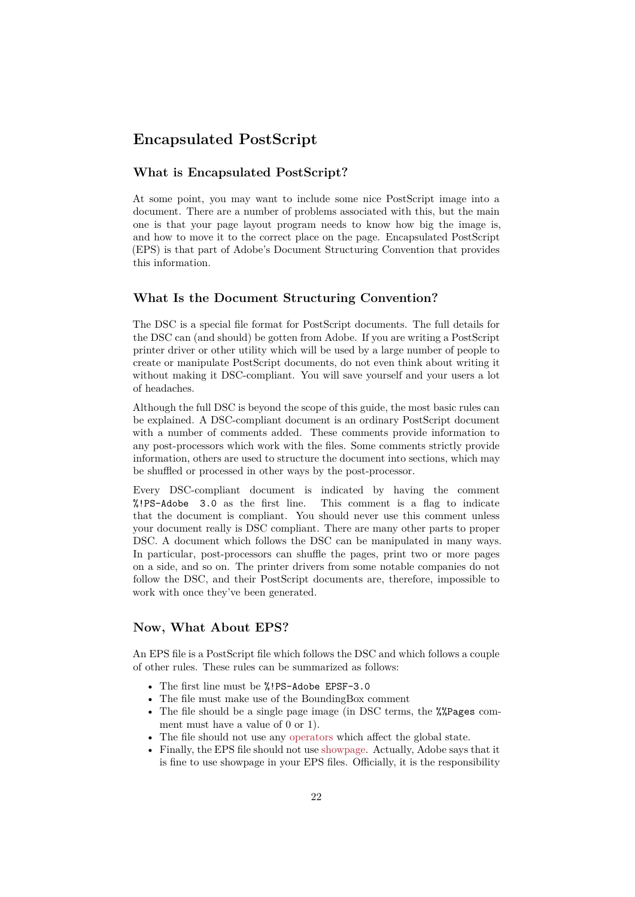# **Encapsulated PostScript**

#### <span id="page-21-0"></span>**What is Encapsulated PostScript?**

At some point, you may want to include some nice PostScript image into a document. There are a number of problems associated with this, but the main one is that your page layout program needs to know how big the image is, and how to move it to the correct place on the page. Encapsulated PostScript (EPS) is that part of Adobe's Document Structuring Convention that provides this information.

### **What Is the Document Structuring Convention?**

The DSC is a special file format for PostScript documents. The full details for the DSC can (and should) be gotten from Adobe. If you are writing a PostScript printer driver or other utility which will be used by a large number of people to create or manipulate PostScript documents, do not even think about writing it without making it DSC-compliant. You will save yourself and your users a lot of headaches.

Although the full DSC is beyond the scope of this guide, the most basic rules can be explained. A DSC-compliant document is an ordinary PostScript document with a number of comments added. These comments provide information to any post-processors which work with the files. Some comments strictly provide information, others are used to structure the document into sections, which may be shuffled or processed in other ways by the post-processor.

Every DSC-compliant document is indicated by having the comment %!PS-Adobe 3.0 as the first line. This comment is a flag to indicate that the document is compliant. You should never use this comment unless your document really is DSC compliant. There are many other parts to proper DSC. A document which follows the DSC can be manipulated in many ways. In particular, post-processors can shuffle the pages, print two or more pages on a side, and so on. The printer drivers from some notable companies do not follow the DSC, and their PostScript documents are, therefore, impossible to work with once they've been generated.

### **Now, What About EPS?**

An EPS file is a PostScript file which follows the DSC and which follows a couple of other rules. These rules can be summarized as follows:

- The first line must be %!PS-Adobe EPSF-3.0
- The file must make use of the BoundingBox comment
- The file should be a single page image (in DSC terms, the  $\frac{1}{2}$ Pages comment must have a value of 0 or 1).
- The file should not use any operators which affect the global state.
- Finally, the EPS file should not use showpage. Actually, Adobe says that it is fine to use showpage in your EPS files. Officially, it is the responsibility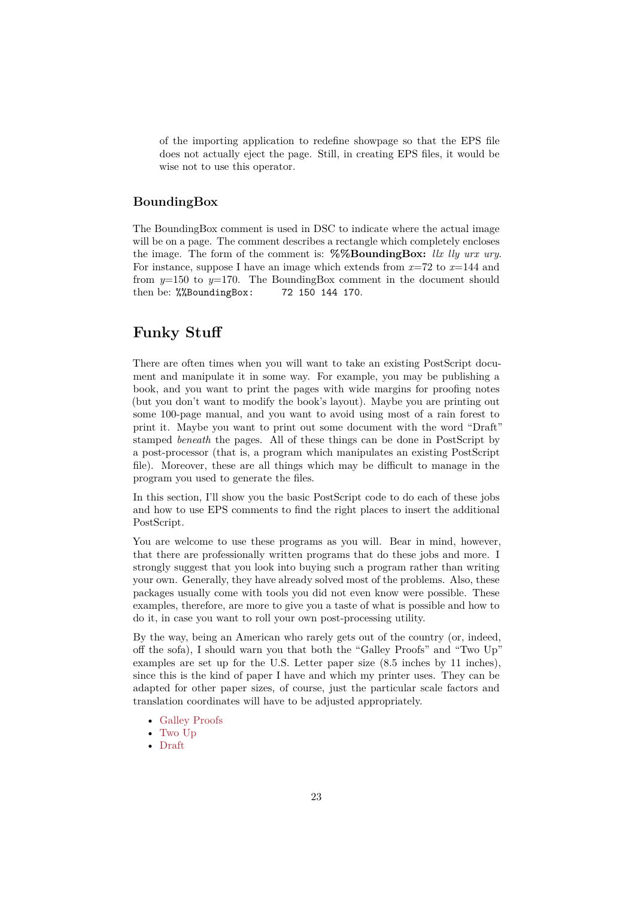of the importing application to redefine showpage so that the EPS file does not actually eject the page. Still, in creating EPS files, it would be wise not to use this operator.

# **BoundingBox**

The BoundingBox comment is used in DSC to indicate where the actual image will be on a page. The comment describes a rectangle which completely encloses the image. The form of the comment is: **%%BoundingBox:** *llx lly urx ury*. For instance, suppose I have an image which extends from *x*=72 to *x*=144 and from *y*=150 to *y*=170. The BoundingBox comment in the document should then be: %%BoundingBox: 72 150 144 170.

# **Funky Stuff**

<span id="page-22-0"></span>There are often times when you will want to take an existing PostScript document and manipulate it in some way. For example, you may be publishing a book, and you want to print the pages with wide margins for proofing notes (but you don't want to modify the book's layout). Maybe you are printing out some 100-page manual, and you want to avoid using most of a rain forest to print it. Maybe you want to print out some document with the word "Draft" stamped *beneath* the pages. All of these things can be done in PostScript by a post-processor (that is, a program which manipulates an existing PostScript file). Moreover, these are all things which may be difficult to manage in the program you used to generate the files.

In this section, I'll show you the basic PostScript code to do each of these jobs and how to use EPS comments to find the right places to insert the additional PostScript.

You are welcome to use these programs as you will. Bear in mind, however, that there are professionally written programs that do these jobs and more. I strongly suggest that you look into buying such a program rather than writing your own. Generally, they have already solved most of the problems. Also, these packages usually come with tools you did not even know were possible. These examples, therefore, are more to give you a taste of what is possible and how to do it, in case you want to roll your own post-processing utility.

By the way, being an American who rarely gets out of the country (or, indeed, off the sofa), I should warn you that both the "Galley Proofs" and "Two Up" examples are set up for the U.S. Letter paper size (8.5 inches by 11 inches), since this is the kind of paper I have and which my printer uses. They can be adapted for other paper sizes, of course, just the particular scale factors and translation coordinates will have to be adjusted appropriately.

- Galley Proofs
- Two Up
- Draft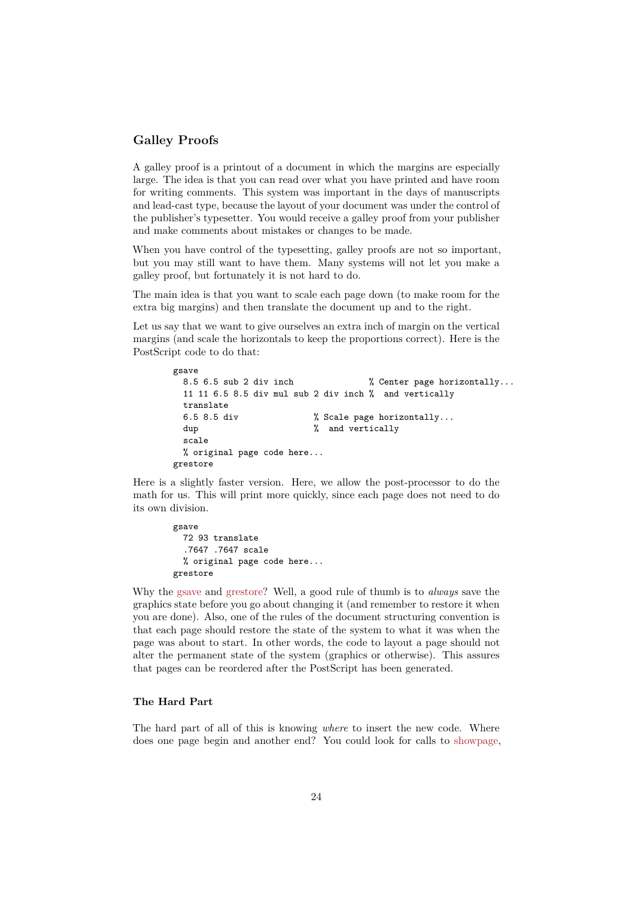## **Galley Proofs**

A galley proof is a printout of a document in which the margins are especially large. The idea is that you can read over what you have printed and have room for writing comments. This system was important in the days of manuscripts and lead-cast type, because the layout of your document was under the control of the publisher's typesetter. You would receive a galley proof from your publisher and make comments about mistakes or changes to be made.

When you have control of the typesetting, galley proofs are not so important, but you may still want to have them. Many systems will not let you make a galley proof, but fortunately it is not hard to do.

The main idea is that you want to scale each page down (to make room for the extra big margins) and then translate the document up and to the right.

Let us say that we want to give ourselves an extra inch of margin on the vertical margins (and scale the horizontals to keep the proportions correct). Here is the PostScript code to do that:

```
gsave
 8.5 6.5 sub 2 div inch \frac{1}{2} Center page horizontally...
 11 11 6.5 8.5 div mul sub 2 div inch % and vertically
 translate
 6.5 8.5 div % Scale page horizontally...
 dup \% and vertically
 scale
 % original page code here...
grestore
```
Here is a slightly faster version. Here, we allow the post-processor to do the math for us. This will print more quickly, since each page does not need to do its own division.

```
gsave
  72 93 translate
  .7647 .7647 scale
  % original page code here...
grestore
```
Why the gsave and grestore? Well, a good rule of thumb is to *always* save the graphics state before you go about changing it (and remember to restore it when you are done). Also, one of the rules of the document structuring convention is that each page should restore the state of the system to what it was when the page was [about](#page-48-1) to [start. In](#page-47-1) other words, the code to layout a page should not alter the permanent state of the system (graphics or otherwise). This assures that pages can be reordered after the PostScript has been generated.

#### **The Hard Part**

<span id="page-23-0"></span>The hard part of all of this is knowing *where* to insert the new code. Where does one page begin and another end? You could look for calls to showpage,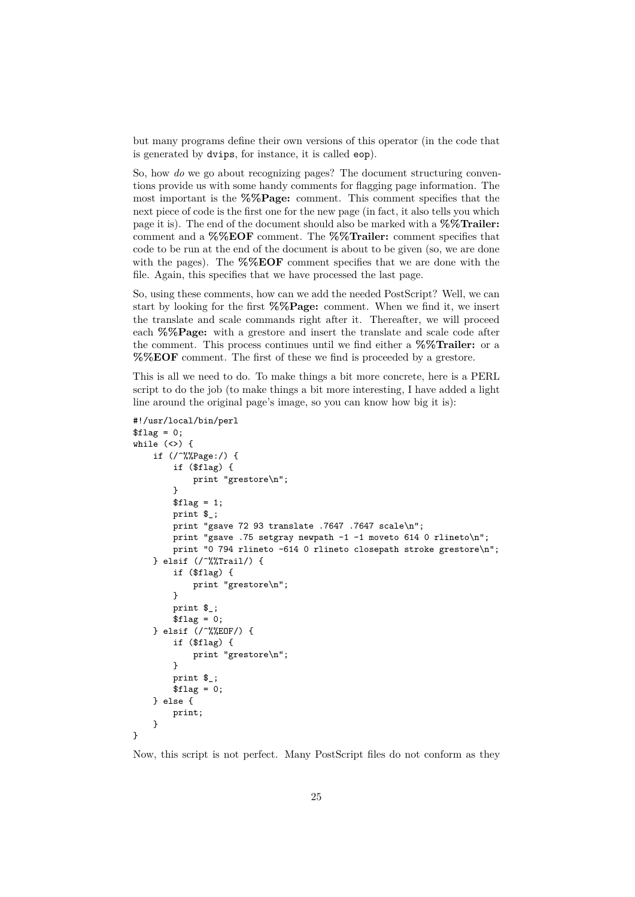but many programs define their own versions of this operator (in the code that is generated by dvips, for instance, it is called eop).

So, how *do* we go about recognizing pages? The document structuring conventions provide us with some handy comments for flagging page information. The most important is the **%%Page:** comment. This comment specifies that the next piece of code is the first one for the new page (in fact, it also tells you which page it is). The end of the document should also be marked with a **%%Trailer:** comment and a **%%EOF** comment. The **%%Trailer:** comment specifies that code to be run at the end of the document is about to be given (so, we are done with the pages). The **%%EOF** comment specifies that we are done with the file. Again, this specifies that we have processed the last page.

So, using these comments, how can we add the needed PostScript? Well, we can start by looking for the first **%%Page:** comment. When we find it, we insert the translate and scale commands right after it. Thereafter, we will proceed each **%%Page:** with a grestore and insert the translate and scale code after the comment. This process continues until we find either a **%%Trailer:** or a **%%EOF** comment. The first of these we find is proceeded by a grestore.

This is all we need to do. To make things a bit more concrete, here is a PERL script to do the job (to make things a bit more interesting, I have added a light line around the original page's image, so you can know how big it is):

```
#!/usr/local/bin/perl
$flag = 0;while (\langle \rangle) {
    if \frac{1}{2} (/^%%Page:/) {
        if ($flag) {
            print "grestore\n";
        }
        $flag = 1;print $_;
        print "gsave 72 93 translate .7647 .7647 scale\n";
        print "gsave .75 setgray newpath -1 -1 moveto 614 0 rlineto\n";
        print "0 794 rlineto -614 0 rlineto closepath stroke grestore\n";
    } elsif (/^%%Trail/) {
        if ($flag) {
            print "grestore\n";
        }
        print $_;
        $flag = 0;} elsif (/^%%EOF/) {
        if ($flag) {
            print "grestore\n";
        }
        print $_;
        $flag = 0;} else {
        print;
    }
}
```
Now, this script is not perfect. Many PostScript files do not conform as they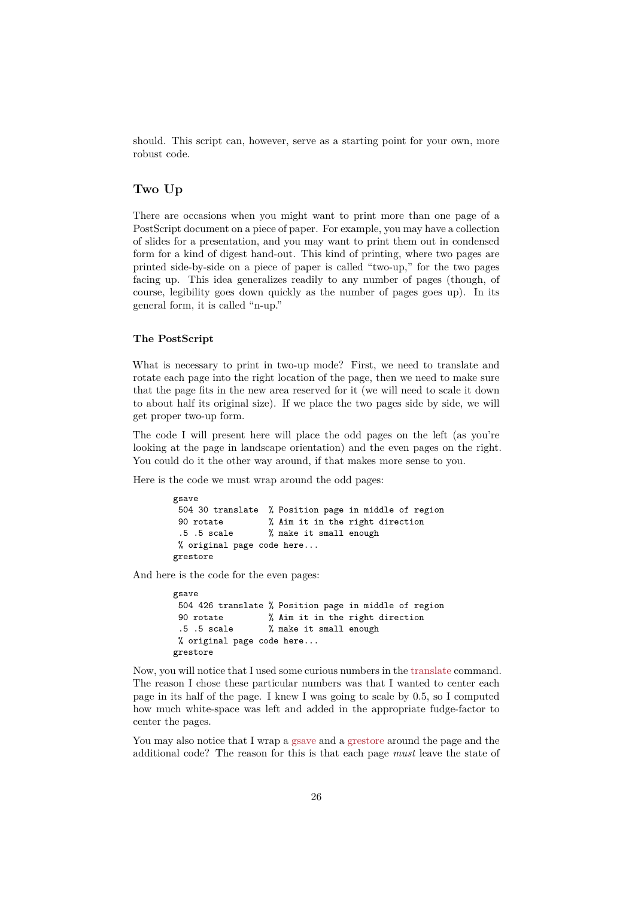should. This script can, however, serve as a starting point for your own, more robust code.

# **Two Up**

<span id="page-25-0"></span>There are occasions when you might want to print more than one page of a PostScript document on a piece of paper. For example, you may have a collection of slides for a presentation, and you may want to print them out in condensed form for a kind of digest hand-out. This kind of printing, where two pages are printed side-by-side on a piece of paper is called "two-up," for the two pages facing up. This idea generalizes readily to any number of pages (though, of course, legibility goes down quickly as the number of pages goes up). In its general form, it is called "n-up."

#### **The PostScript**

What is necessary to print in two-up mode? First, we need to translate and rotate each page into the right location of the page, then we need to make sure that the page fits in the new area reserved for it (we will need to scale it down to about half its original size). If we place the two pages side by side, we will get proper two-up form.

The code I will present here will place the odd pages on the left (as you're looking at the page in landscape orientation) and the even pages on the right. You could do it the other way around, if that makes more sense to you.

Here is the code we must wrap around the odd pages:

```
gsave
504 30 translate % Position page in middle of region
90 rotate % Aim it in the right direction
 .5 .5 scale % make it small enough
% original page code here...
grestore
```
And here is the code for the even pages:

```
gsave
504 426 translate % Position page in middle of region
90 rotate % Aim it in the right direction
 .5 .5 scale % make it small enough
% original page code here...
grestore
```
Now, you will notice that I used some curious numbers in the translate command. The reason I chose these particular numbers was that I wanted to center each page in its half of the page. I knew I was going to scale by 0.5, so I computed how much white-space was left and added in the appropriate fudge-factor to center the pages.

You may also notice that I wrap a gsave and a grestore around the page and the additional code? The reason for this is that each page *must* leave the state of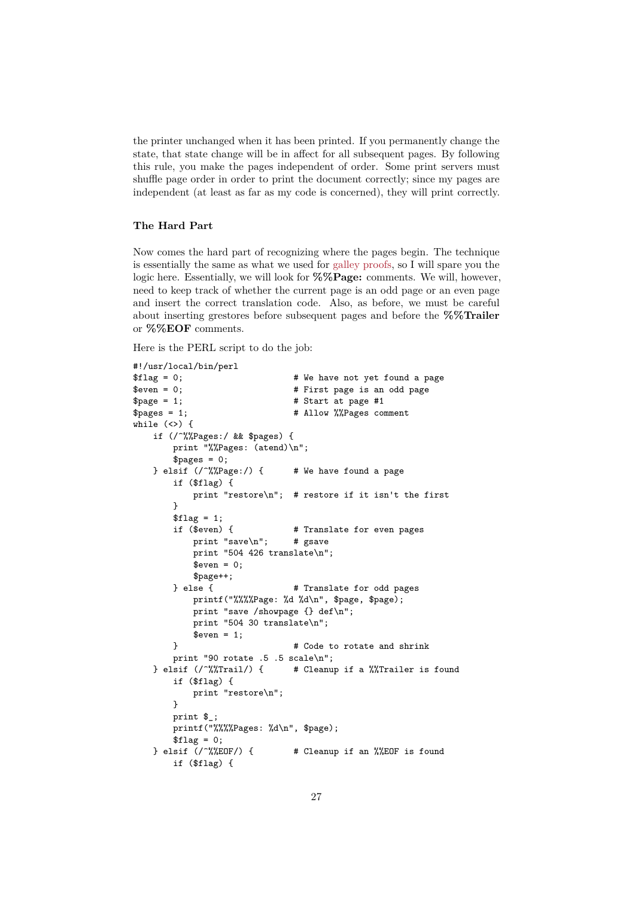the printer unchanged when it has been printed. If you permanently change the state, that state change will be in affect for all subsequent pages. By following this rule, you make the pages independent of order. Some print servers must shuffle page order in order to print the document correctly; since my pages are independent (at least as far as my code is concerned), they will print correctly.

#### **The Hard Part**

Now comes the hard part of recognizing where the pages begin. The technique is essentially the same as what we used for galley proofs, so I will spare you the logic here. Essentially, we will look for **%%Page:** comments. We will, however, need to keep track of whether the current page is an odd page or an even page and insert the correct translation code. Also, as before, we must be careful about inserting grestores before subseque[nt pages and](#page-23-0) before the **%%Trailer** or **%%EOF** comments.

Here is the PERL script to do the job:

```
#!/usr/local/bin/perl
$flag = 0; <br># We have not yet found a page
$even = 0; <br> # First page is an odd page
$page = 1; # Start at page #1$pages = 1; # Allow \frac{9}{2}Pages comment
while (\langle \rangle) {
   if (/^%%Pages:/ && $pages) {
       print "%%Pages: (atend)\n";
       $pages = 0;} elsif \binom{'}{W}Page:/) { # We have found a page
       if ($flag) {
           print "restore\n"; # restore if it isn't the first
       }
       $flag = 1;if ($even) { # Translate for even pages
           print "save\n \begin{cases} \n m \\ \n \end{cases}"; # gsave
           print "504 426 translate\n";
           %even = 0;
           $page++;
       } else { # Translate for odd pages
           printf("%%%%Page: %d %d\n", $page, $page);
           print "save /showpage {} def\n";
           print "504 30 translate\n";
           %even = 1;
       } # Code to rotate and shrink
   print "90 rotate .5 .5 scale\n";<br>} elsif \frac{\sqrt{2}}{2} elsif (/~%,Trail/) { # Cleanu
                               # Cleanup if a %%Trailer is found
       if ($flag) {
           print "restore\n";
       }
       print $_;
       printf("%%%%Pages: %d\n", $page);
       $flag = 0;} elsif (/^%%EOF/) { # Cleanup if an %%EOF is found
       if ($flag) {
```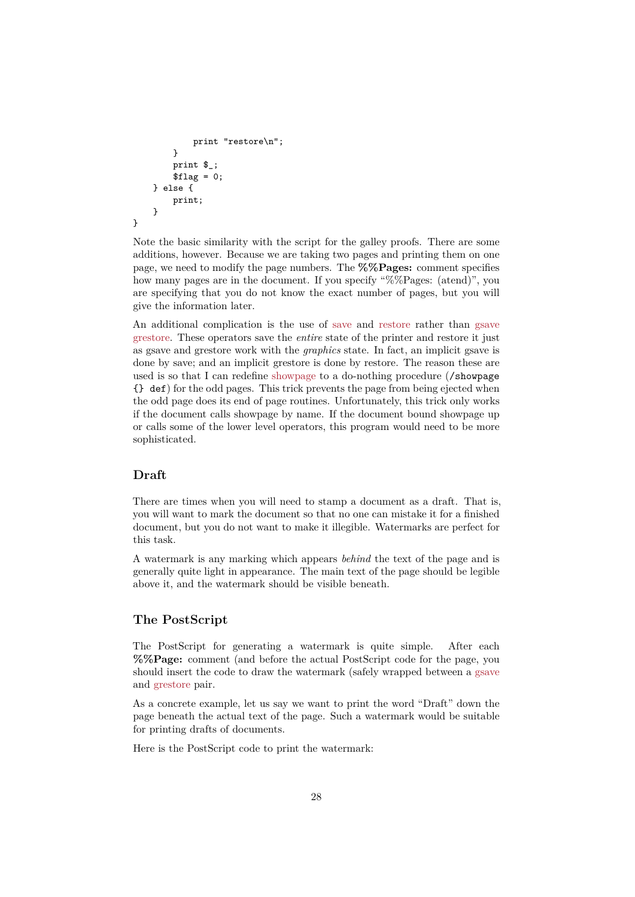```
print "restore\n";
        }
        print $_;
        $flag = 0;} else {
        print;
    }
}
```
Note the basic similarity with the script for the galley proofs. There are some additions, however. Because we are taking two pages and printing them on one page, we need to modify the page numbers. The **%%Pages:** comment specifies how many pages are in the document. If you specify "%%Pages: (atend)", you are specifying that you do not know the exact number of pages, but you will give the information later.

An additional complication is the use of save and restore rather than gsave grestore. These operators save the *entire* state of the printer and restore it just as gsave and grestore work with the *graphics* state. In fact, an implicit gsave is done by save; and an implicit grestore is done by restore. The reason these are used is so that I can redefine showpage to [a do](#page-52-1)-noth[ing pro](#page-51-1)cedure (/sho[wpage](#page-48-1) [{} def](#page-47-1)) for the odd pages. This trick prevents the page from being ejected when the odd page does its end of page routines. Unfortunately, this trick only works if the document calls showpage by name. If the document bound showpage up or calls some of the lower lev[el operator](#page-55-1)s, this program would need to be more sophisticated.

#### **Draft**

There are times when you will need to stamp a document as a draft. That is, you will want to mark the document so that no one can mistake it for a finished document, but you do not want to make it illegible. Watermarks are perfect for this task.

A watermark is any marking which appears *behind* the text of the page and is generally quite light in appearance. The main text of the page should be legible above it, and the watermark should be visible beneath.

# **The PostScript**

The PostScript for generating a watermark is quite simple. After each **%%Page:** comment (and before the actual PostScript code for the page, you should insert the code to draw the watermark (safely wrapped between a gsave and grestore pair.

As a concrete example, let us say we want to print the word "Draft" down the page beneath the actual text of the page. Such a watermark would be su[itable](#page-48-1) for [printing d](#page-47-1)rafts of documents.

Here is the PostScript code to print the watermark: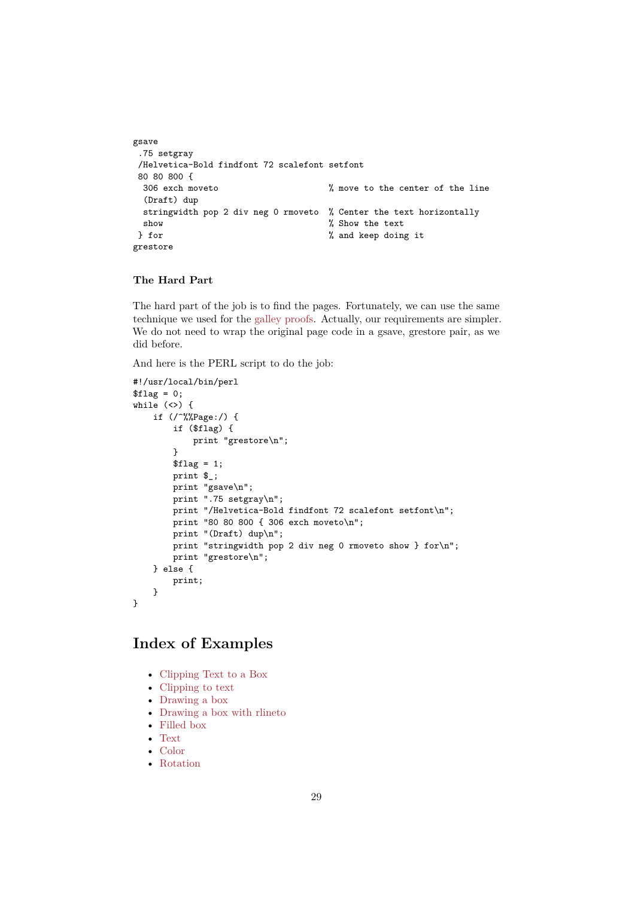```
gsave
.75 setgray
/Helvetica-Bold findfont 72 scalefont setfont
80 80 800 {
 306 exch moveto % move to the center of the line
 (Draft) dup
 stringwidth pop 2 div neg 0 rmoveto % Center the text horizontally
 show \% Show the text
} for % and keep doing it
grestore
```
### **The Hard Part**

The hard part of the job is to find the pages. Fortunately, we can use the same technique we used for the galley proofs. Actually, our requirements are simpler. We do not need to wrap the original page code in a gsave, grestore pair, as we did before.

And here is the PERL scr[ipt to do the](#page-23-0) job:

```
#!/usr/local/bin/perl
$flag = 0;while (\langle \rangle) {
    if (/^%%Page:/) {
        if ($flag) {
            print "grestore\n";
        }
        $flag = 1;print $_;
        print "gsave\n";
        print ".75 setgray\n";
        print "/Helvetica-Bold findfont 72 scalefont setfont\n";
        print "80 80 800 { 306 exch moveto\n";
        print "(Draft) dup\n";
        print "stringwidth pop 2 div neg 0 rmoveto show } for\n";
        print "grestore\n";
    } else {
        print;
    }
}
```
# **Index of Examples**

- Clipping Text to a Box
- <span id="page-28-0"></span>• Clipping to text
- Drawing a box
- Drawing a box with rlineto
- [Filled box](#page-29-0)
- [Text](#page-29-1)
- [Color](#page-30-0)
- [Rotation](#page-30-1)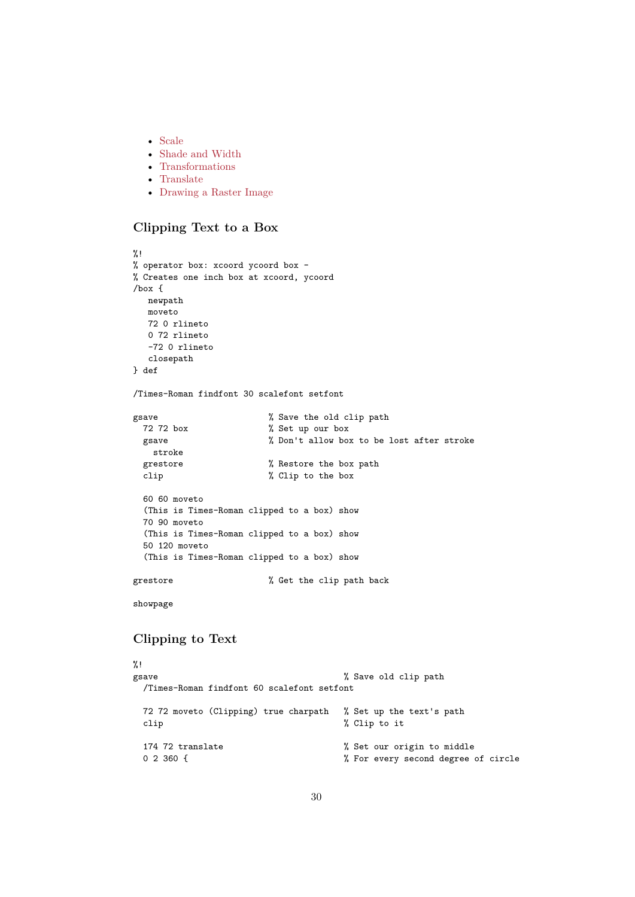- Scale
- Shade and Width
- Transformations
- Translate
- [Draw](#page-33-1)ing a Raster Image

# **Clip[ping T](#page-35-0)[ext to](#page-34-0) a Box**

```
%!
% operator box: xcoord ycoord box -
% Creates one inch box at xcoord, ycoord
/box {
  newpath
  moveto
  72 0 rlineto
  0 72 rlineto
  -72 0 rlineto
  closepath
} def
/Times-Roman findfont 30 scalefont setfont
gsave \sim % Save the old clip path
 72 72 box % Set up our box
 gsave % Don't allow box to be lost after stroke
   stroke
 grestore \sim % Restore the box path
 clip % Clip to the box
 60 60 moveto
 (This is Times-Roman clipped to a box) show
 70 90 moveto
 (This is Times-Roman clipped to a box) show
 50 120 moveto
 (This is Times-Roman clipped to a box) show
grestore \% Get the clip path back
showpage
Clipping to Text
%!
gsave \% Save old clip path
 /Times-Roman findfont 60 scalefont setfont
```
<span id="page-29-1"></span>72 72 moveto (Clipping) true charpath % Set up the text's path clip  $\%$  Clip to it 174 72 translate  $\%$  Set our origin to middle 0 2 360 {<br> $\%$  For every second degree % For every second degree of circle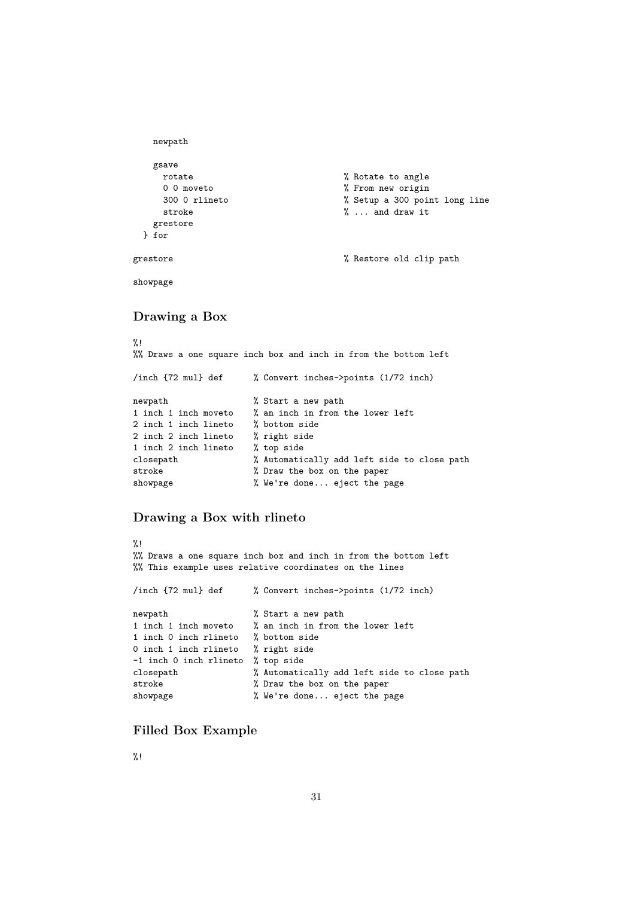```
newpath
  gsave
   rotate \% Rotate to angle
   0 0 moveto \% From new origin
   300 0 rlineto % Setup a 300 point long line
   stroke \gamma ... and draw it
  grestore
 } for
grestore \% Restore old clip path
```
<span id="page-30-0"></span>showpage

# **Drawing a Box**

%! %% Draws a one square inch box and inch in from the bottom left /inch {72 mul} def % Convert inches->points (1/72 inch) newpath  $\%$  Start a new path 1 inch 1 inch moveto % an inch in from the lower left 2 inch 1 inch lineto % bottom side 2 inch 2 inch lineto % right side 1 inch 2 inch lineto % top side closepath % Automatically add left side to close path stroke  $\%$  Draw the box on the paper showpage % We're done... eject the page

# <span id="page-30-1"></span>**Drawing a Box with rlineto**

```
\%!
%% Draws a one square inch box and inch in from the bottom left
%% This example uses relative coordinates on the lines
/inch {72 mul} def % Convert inches->points (1/72 inch)
newpath \frac{1}{2} Start a new path
1 inch 1 inch moveto % an inch in from the lower left
1 inch 0 inch rlineto % bottom side
0 inch 1 inch rlineto % right side
-1 inch 0 inch rlineto % top side
closepath % Automatically add left side to close path
stroke \% Draw the box on the paper
showpage % We're done... eject the page
```
# <span id="page-30-2"></span>**Filled Box Example**

%!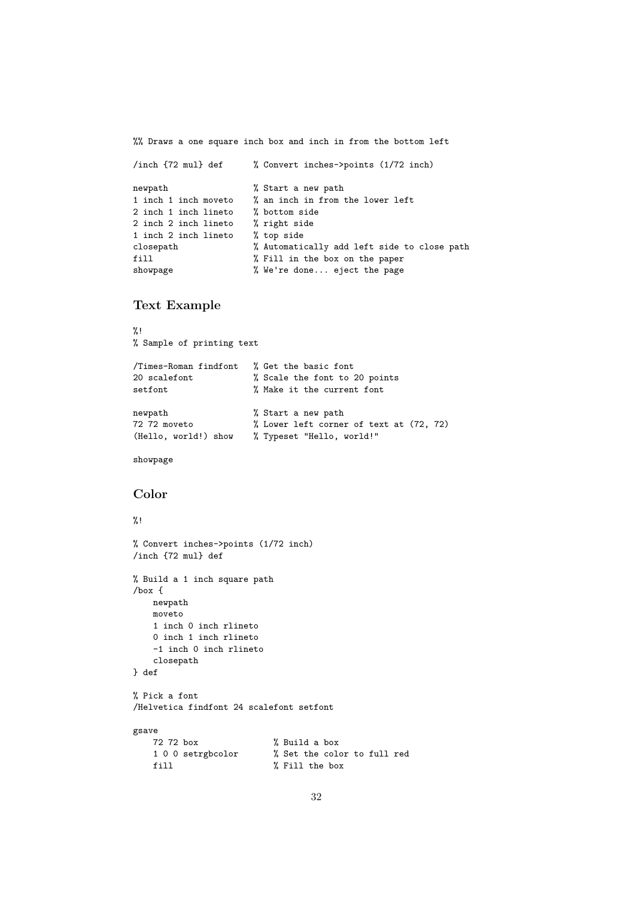%% Draws a one square inch box and inch in from the bottom left

```
/inch {72 mul} def % Convert inches->points (1/72 inch)
newpath \% Start a new path
1 inch 1 inch moveto % an inch in from the lower left
2 inch 1 inch lineto % bottom side
2 inch 2 inch lineto % right side
1 inch 2 inch lineto % top side
closepath % Automatically add left side to close path
fill % Fill in the box on the paper
showpage % We're done... eject the page
```
# **Text Example**

```
%!
% Sample of printing text
/Times-Roman findfont % Get the basic font
20 scalefont % Scale the font to 20 points
setfont \% Make it the current font
newpath % Start a new path
72 72 moveto % Lower left corner of text at (72, 72)
(Hello, world!) show % Typeset "Hello, world!"
```
<span id="page-31-0"></span>showpage

# **Color**

# $\frac{9}{2}$ !

```
% Convert inches->points (1/72 inch)
/inch {72 mul} def
% Build a 1 inch square path
/box {
   newpath
   moveto
   1 inch 0 inch rlineto
   0 inch 1 inch rlineto
   -1 inch 0 inch rlineto
   closepath
} def
% Pick a font
/Helvetica findfont 24 scalefont setfont
gsave
   72 72 box % Build a box
   1 0 0 setrgbcolor % Set the color to full red
   fill % Fill the box
```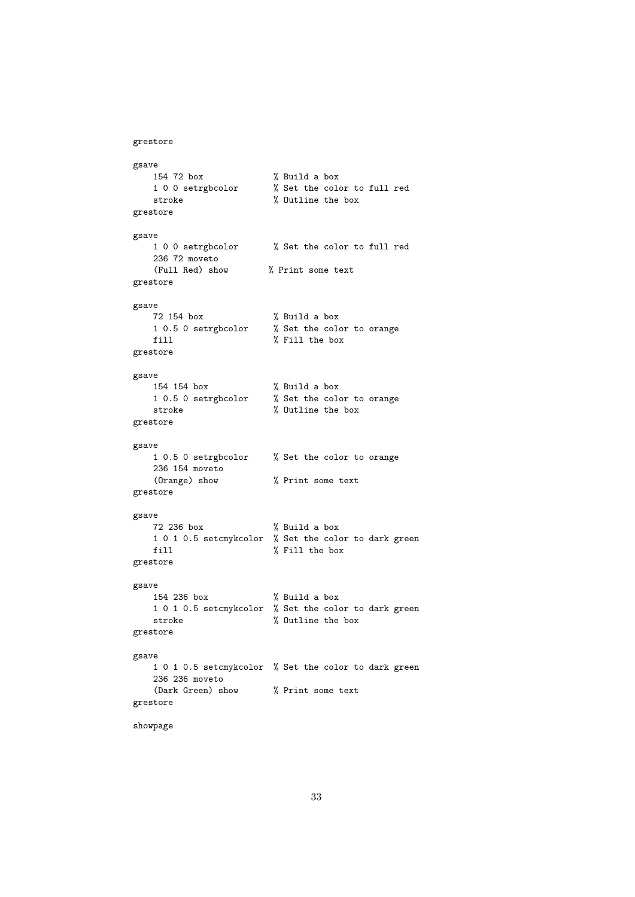```
grestore
gsave
   154 72 box % Build a box
   1 0 0 setrgbcolor % Set the color to full red
   stroke \% Outline the box
grestore
gsave
   1 0 0 setrgbcolor % Set the color to full red
   236 72 moveto
   (Full Red) show % Print some text
grestore
gsave
   72 154 box % Build a box
   1 0.5 0 setrgbcolor % Set the color to orange
   fill \% Fill the box
grestore
gsave
   154 154 box % Build a box
   1 0.5 0 setrgbcolor % Set the color to orange
   stroke \% Outline the box
grestore
gsave
   1 0.5 0 setrgbcolor % Set the color to orange
   236 154 moveto
   (Orange) show % Print some text
grestore
gsave
  72 236 box % Build a box
   1 0 1 0.5 setcmykcolor % Set the color to dark green
   fill % Fill the box
grestore
gsave
   154 236 box % Build a box
   1 0 1 0.5 setcmykcolor % Set the color to dark green
   stroke \% Outline the box
grestore
gsave
   1 0 1 0.5 setcmykcolor % Set the color to dark green
   236 236 moveto
   (Dark Green) show % Print some text
grestore
showpage
```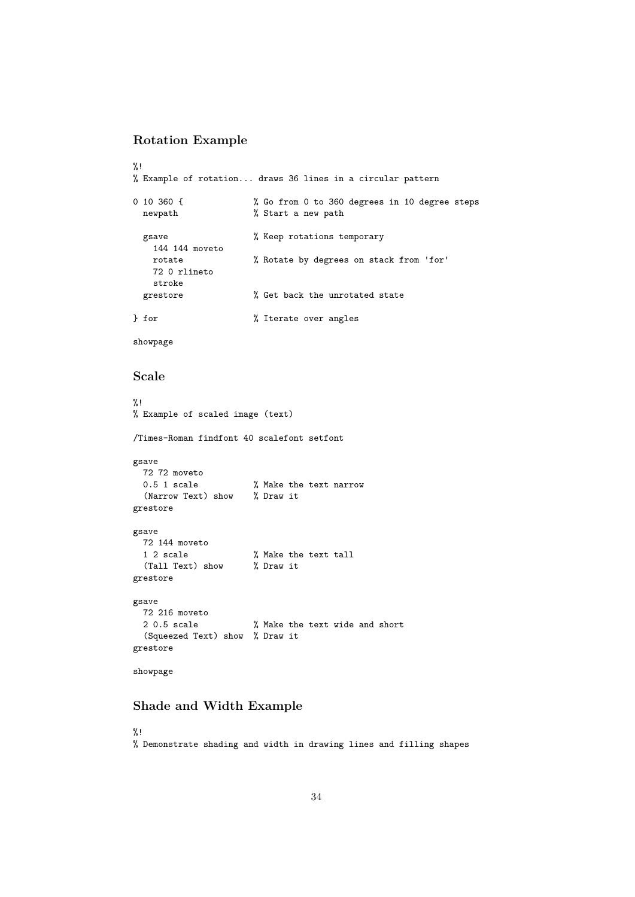# **Rotation Example**

```
%!
% Example of rotation... draws 36 lines in a circular pattern
0 10 360 { % Go from 0 to 360 degrees in 10 degree steps
 newpath % Start a new path
 gsave % Keep rotations temporary
  144 144 moveto
  rotate % Rotate by degrees on stack from 'for'
  72 0 rlineto
   stroke
 grestore \% Get back the unrotated state
} for \% Iterate over angles
```
<span id="page-33-1"></span>showpage

### **Scale**

```
%!
% Example of scaled image (text)
/Times-Roman findfont 40 scalefont setfont
gsave
 72 72 moveto
 0.5 1 scale % Make the text narrow
  (Narrow Text) show % Draw it
grestore
gsave
 72 144 moveto
                      % Make the text tall
 (Tall Text) show % Draw it
grestore
gsave
 72 216 moveto
 2 0.5 scale % Make the text wide and short
 (Squeezed Text) show % Draw it
grestore
showpage
```
### <span id="page-33-0"></span>**Shade and Width Example**

%! % Demonstrate shading and width in drawing lines and filling shapes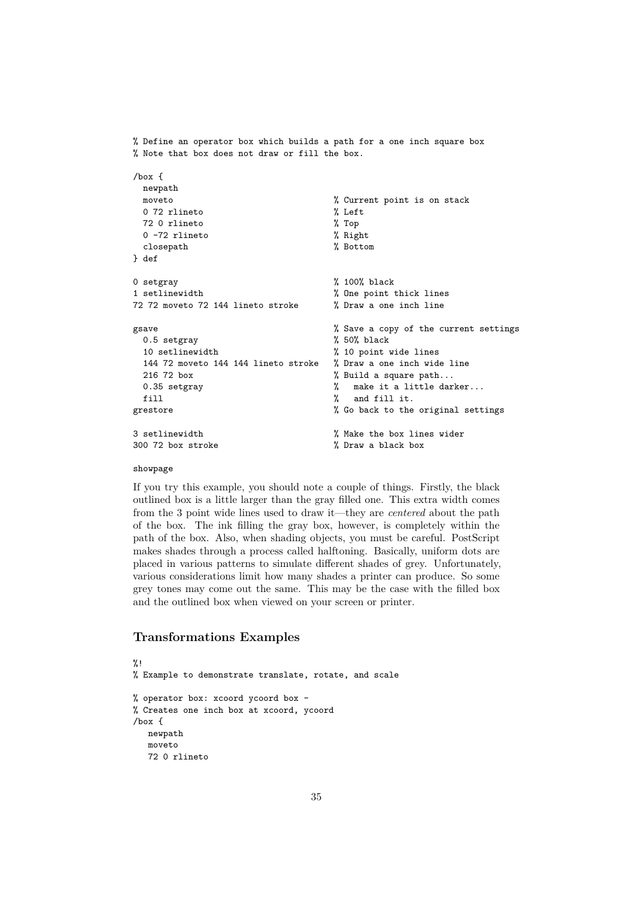```
% Define an operator box which builds a path for a one inch square box
% Note that box does not draw or fill the box.
/box {
 newpath
 moveto \% Current point is on stack
 0 72 rlineto \% Left
 72 0 rlineto % Top
 0 -72 rlineto % Right
 closepath % Bottom
} def
0 setgray \% 100% black
1 setlinewidth % One point thick lines
72 72 moveto 72 144 lineto stroke % Draw a one inch line
gsave \% Save a copy of the current settings
 0.5 setgray \% 50% black
 10 setlinewidth % 10 point wide lines
 144 72 moveto 144 144 lineto stroke % Draw a one inch wide line
 216 72 box \% Build a square path...
 0.35 setgray \gamma make it a little darker...
 fill \% and fill it.
grestore \% Go back to the original settings
3 setlinewidth % Make the box lines wider
300 72 box stroke % Draw a black box
```
#### showpage

If you try this example, you should note a couple of things. Firstly, the black outlined box is a little larger than the gray filled one. This extra width comes from the 3 point wide lines used to draw it—they are *centered* about the path of the box. The ink filling the gray box, however, is completely within the path of the box. Also, when shading objects, you must be careful. PostScript makes shades through a process called halftoning. Basically, uniform dots are placed in various patterns to simulate different shades of grey. Unfortunately, various considerations limit how many shades a printer can produce. So some grey tones may come out the same. This may be the case with the filled box and the outlined box when viewed on your screen or printer.

# <span id="page-34-0"></span>**Transformations Examples**

```
\frac{9}{1} !
% Example to demonstrate translate, rotate, and scale
% operator box: xcoord ycoord box -
% Creates one inch box at xcoord, ycoord
/box {
   newpath
   moveto
   72 0 rlineto
```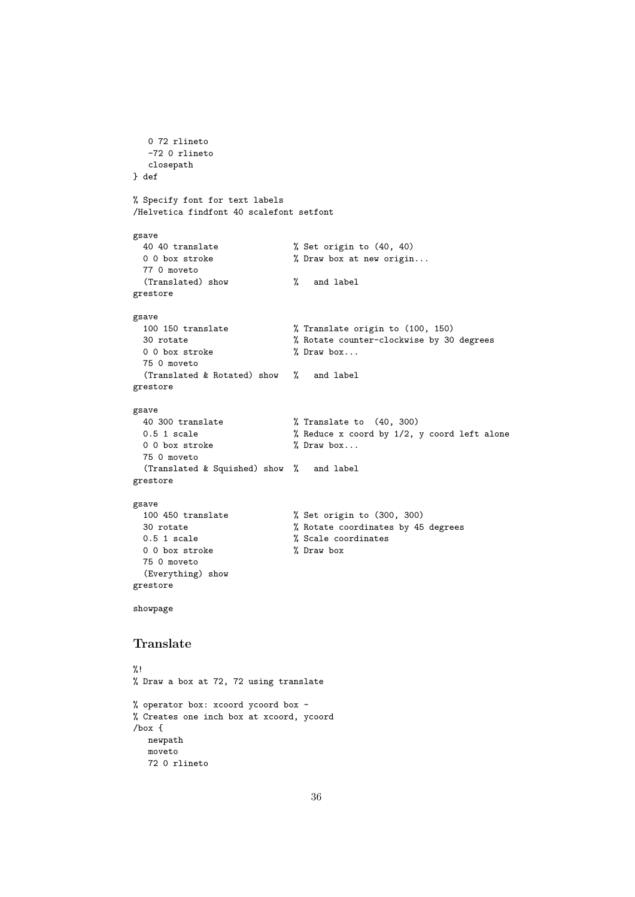```
0 72 rlineto
  -72 0 rlineto
  closepath
} def
% Specify font for text labels
/Helvetica findfont 40 scalefont setfont
gsave
 40 40 translate % Set origin to (40, 40)
 0 0 box stroke \frac{1}{2} Draw box at new origin...
 77 0 moveto
 (Translated) show % and label
grestore
gsave
 100 150 translate % Translate origin to (100, 150)
 30 rotate % Rotate counter-clockwise by 30 degrees
 0 0 box stroke \gamma Draw box...
 75 0 moveto
 (Translated & Rotated) show % and label
grestore
gsave
 40 300 translate % Translate to (40, 300)
 0.5 1 scale \frac{1}{2} Reduce x coord by 1/2, y coord left alone
 0 0 box stroke \gamma Draw box...
 75 0 moveto
 (Translated & Squished) show % and label
grestore
gsave
 100 450 translate % Set origin to (300, 300)
 30 rotate % Rotate coordinates by 45 degrees
 0.5 1 scale \frac{1}{2} Scale coordinates
 0 0 box stroke \frac{1}{2} Draw box
 75 0 moveto
 (Everything) show
grestore
showpage
Translate
%!
% Draw a box at 72, 72 using translate
% operator box: xcoord ycoord box -
% Creates one inch box at xcoord, ycoord
/box {
  newpath
  moveto
  72 0 rlineto
```

```
36
```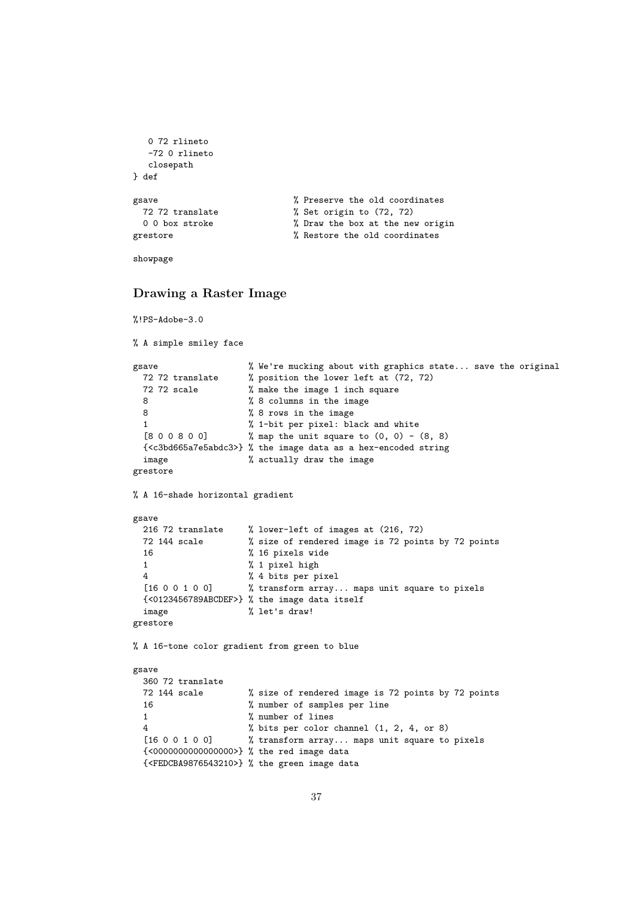```
0 72 rlineto
  -72 0 rlineto
  closepath
} def
gsave \% Preserve the old coordinates
 72 72 translate % Set origin to (72, 72)
 0 0 box stroke \% Draw the box at the new origin
grestore \gamma Restore the old coordinates
```

```
showpage
```
# **Drawing a Raster Image**

```
%!PS-Adobe-3.0
```
% A simple smiley face

```
gsave % We're mucking about with graphics state... save the original
 72 72 translate % position the lower left at (72, 72)
 72 72 scale % make the image 1 inch square
 8 % 8 columns in the image
 8 % 8 rows in the image
 1 % 1-bit per pixel: black and white
 [8\ 0\ 0\ 8\ 0\ 0] % map the unit square to (0, 0) - (8, 8){<c3bd665a7e5abdc3>} % the image data as a hex-encoded string
 image % actually draw the image
grestore
```
% A 16-shade horizontal gradient

```
gsave
 216 72 translate % lower-left of images at (216, 72)<br>72 144 scale % size of rendered image is 72 poin
                     % size of rendered image is 72 points by 72 points
 16 % 16 pixels wide
 1 % 1 pixel high
 4 % 4 bits per pixel
 [16 0 0 1 0 0] % transform array... maps unit square to pixels
 {<0123456789ABCDEF>} % the image data itself
 image % let's draw!
grestore
```
% A 16-tone color gradient from green to blue

```
gsave
 360 72 translate
 72 144 scale % size of rendered image is 72 points by 72 points
 16 % number of samples per line
 1 % number of lines
 4 % bits per color channel (1, 2, 4, or 8)
 [16 0 0 1 0 0] % transform array... maps unit square to pixels
 {<0000000000000000>} % the red image data
 {<FEDCBA9876543210>} % the green image data
```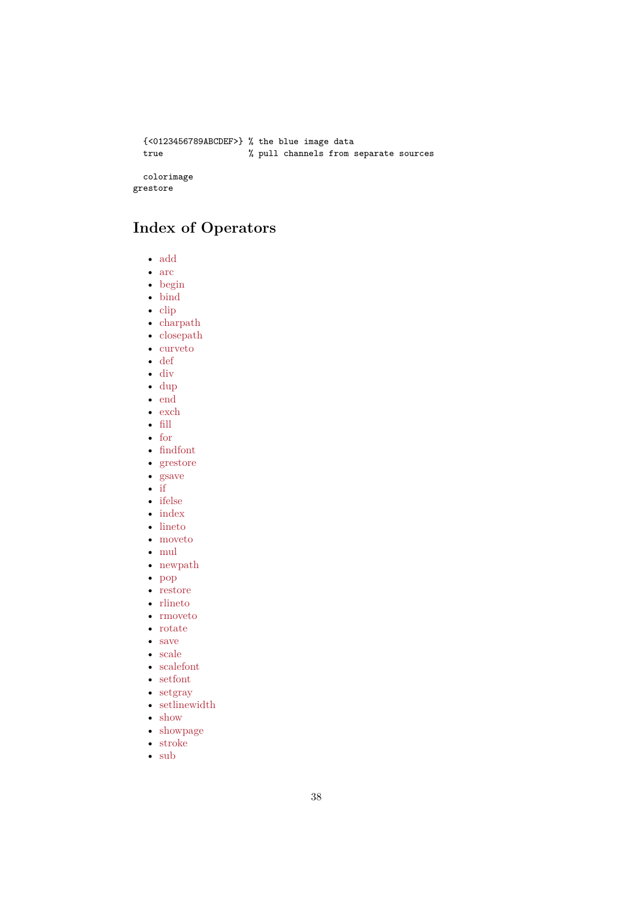```
{<0123456789ABCDEF>} % the blue image data
 true % pull channels from separate sources
 colorimage
grestore
```
# **Index of Operators**

- <span id="page-37-0"></span>• add
- <span id="page-37-1"></span>• arc
- begin
- bind
- [clip](#page-42-1)
- [cha](#page-42-2)rpath
- [closep](#page-42-3)ath
- [curve](#page-42-0)to
- [def](#page-43-0)
- [div](#page-43-1)
- [dup](#page-43-2)
- [end](#page-44-1)
- [exc](#page-45-0)h
- [fill](#page-45-1) • [for](#page-46-1)
- 
- [find](#page-46-2)font • [grest](#page-46-3)ore
- [gsa](#page-46-0)ve
- [if](#page-47-0)
- [ifelse](#page-47-2)
- [index](#page-47-1)
- [lineto](#page-48-1)
- [m](#page-48-2)oveto
- $\bullet \ \text{mul}$  $\bullet \ \text{mul}$  $\bullet \ \text{mul}$
- [newpa](#page-49-0)th
- [pop](#page-49-1)
- [restore](#page-50-2)
- [rline](#page-50-0)to
- [rmoveto](#page-50-1)
- [rota](#page-51-2)te
- [save](#page-51-1)
- [scale](#page-51-0)
- [scalefont](#page-52-2)
- [setfont](#page-52-0)
- [setgr](#page-52-1)ay
- [setlin](#page-53-2)ewidth
- [show](#page-53-0)
- [showpa](#page-53-1)ge
- [stroke](#page-54-0)
- [sub](#page-54-1)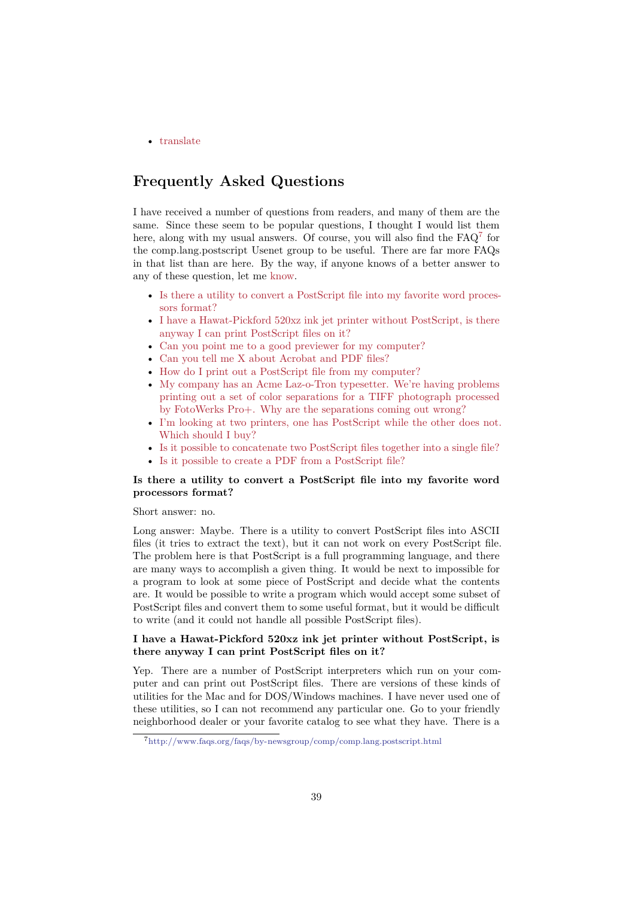• translate

# **Fre[quentl](#page-56-0)y Asked Questions**

<span id="page-38-1"></span><span id="page-38-0"></span>I have received a number of questions from readers, and many of them are the same. Since these seem to be popular questions, I thought I would list them here, along with my usual answers. Of course, you will also find the  $FAQ^7$  for the comp.lang.postscript Usenet group to be useful. There are far more FAQs in that list than are here. By the way, if anyone knows of a better answer to any of these question, let me know.

- Is there a utility to convert a PostScript file into my favorite word pr[o](#page-38-2)cessors format?
- I have a Hawat-Pickford 520xz ink jet printer without PostScript, is there anyway I can print Pos[tScrip](#page-58-0)t files on it?
- [Can you point me to a good previewer for my computer?](#page-38-3)
- [Can you tell](#page-38-3) me X about Acrobat and PDF files?
- [How do I print out a PostScript file from my computer?](#page-38-4)
- [My company has an Acme Laz-o-Tron typ](#page-38-4)esetter. We're having problems [printing out a set of color separations for a TIFF photog](#page-39-0)raph processed [by FotoWerks Pro+. Why are the separations com](#page-39-1)ing out wrong?
- [I'm looking at two printers, one has PostScript while th](#page-39-2)e other does not. [Which should I buy?](#page-39-3)
- [Is it possible to concatenate two PostScript files together into a single file?](#page-39-3)
- [Is it possible to create a PDF from a PostScript file?](#page-39-3)

### **Is th[ere a utility to convert a PostScript file into my favorite word](#page-40-0) proc[essors format?](#page-40-0)**

#### Short [answer: no.](#page-41-0)

<span id="page-38-3"></span>Long answer: Maybe. There is a utility to convert PostScript files into ASCII files (it tries to extract the text), but it can not work on every PostScript file. The problem here is that PostScript is a full programming language, and there are many ways to accomplish a given thing. It would be next to impossible for a program to look at some piece of PostScript and decide what the contents are. It would be possible to write a program which would accept some subset of PostScript files and convert them to some useful format, but it would be difficult to write (and it could not handle all possible PostScript files).

### **I have a Hawat-Pickford 520xz ink jet printer without PostScript, is there anyway I can print PostScript files on it?**

<span id="page-38-4"></span>Yep. There are a number of PostScript interpreters which run on your computer and can print out PostScript files. There are versions of these kinds of utilities for the Mac and for DOS/Windows machines. I have never used one of these utilities, so I can not recommend any particular one. Go to your friendly neighborhood dealer or your favorite catalog to see what they have. There is a

<span id="page-38-2"></span><sup>7</sup>http://www.faqs.org/faqs/by-newsgroup/comp/comp.lang.postscript.html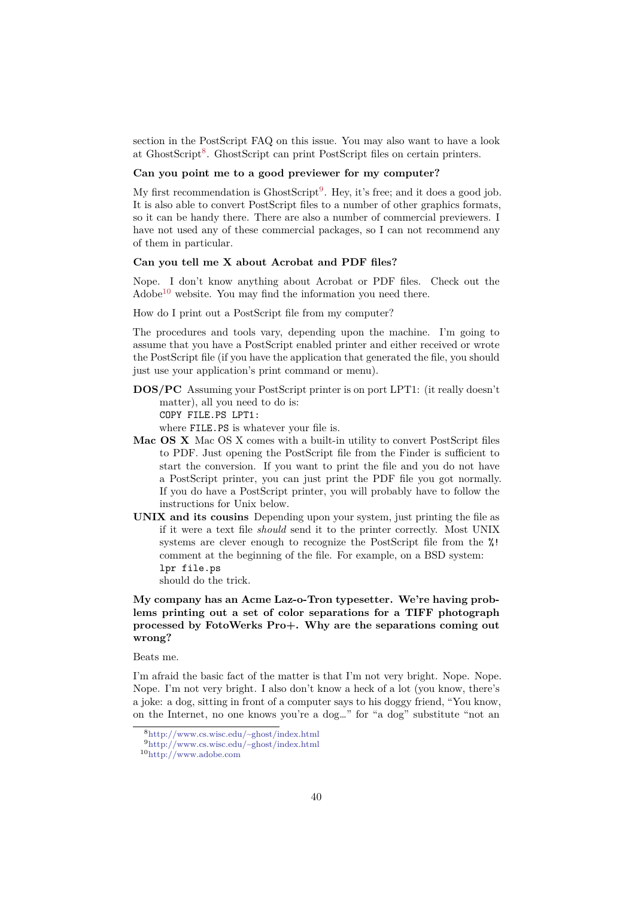section in the PostScript FAQ on this issue. You may also want to have a look at GhostScript<sup>8</sup>. GhostScript can print PostScript files on certain printers.

#### **Can you point me to a good previewer for my computer?**

<span id="page-39-0"></span>My first recommendation is  $\text{GhostScript}^9$ . Hey, it's free; and it does a good job. It is also able [to](#page-39-4) convert PostScript files to a number of other graphics formats, so it can be handy there. There are also a number of commercial previewers. I have not used any of these commercial packages, so I can not recommend any of them in particular.

#### **Can you tell me X about Acrobat and PDF files?**

Nope. I don't know anything about Acrobat or PDF files. Check out the Adobe<sup>10</sup> website. You may find the information you need there.

<span id="page-39-1"></span>How do I print out a PostScript file from my computer?

<span id="page-39-2"></span>The procedures and tools vary, depending upon the machine. I'm going to assum[e t](#page-39-5)hat you have a PostScript enabled printer and either received or wrote the PostScript file (if you have the application that generated the file, you should just use your application's print command or menu).

**DOS/PC** Assuming your PostScript printer is on port LPT1: (it really doesn't matter), all you need to do is: COPY FILE.PS LPT1:

where FILE.PS is whatever your file is.

- **Mac OS X** Mac OS X comes with a built-in utility to convert PostScript files to PDF. Just opening the PostScript file from the Finder is sufficient to start the conversion. If you want to print the file and you do not have a PostScript printer, you can just print the PDF file you got normally. If you do have a PostScript printer, you will probably have to follow the instructions for Unix below.
- **UNIX and its cousins** Depending upon your system, just printing the file as if it were a text file *should* send it to the printer correctly. Most UNIX systems are clever enough to recognize the PostScript file from the %! comment at the beginning of the file. For example, on a BSD system: lpr file.ps

should do the trick.

# **My company has an Acme Laz-o-Tron typesetter. We're having problems printing out a set of color separations for a TIFF photograph processed by FotoWerks Pro+. Why are the separations coming out wrong?**

<span id="page-39-3"></span>Beats me.

I'm afraid the basic fact of the matter is that I'm not very bright. Nope. Nope. Nope. I'm not very bright. I also don't know a heck of a lot (you know, there's a joke: a dog, sitting in front of a computer says to his doggy friend, "You know, on the Internet, no one knows you're a dog…" for "a dog" substitute "not an

<sup>8</sup>http://www.cs.wisc.edu/~ghost/index.html

<sup>9</sup>http://www.cs.wisc.edu/~ghost/index.html

<span id="page-39-5"></span><span id="page-39-4"></span><sup>10</sup>http://www.adobe.com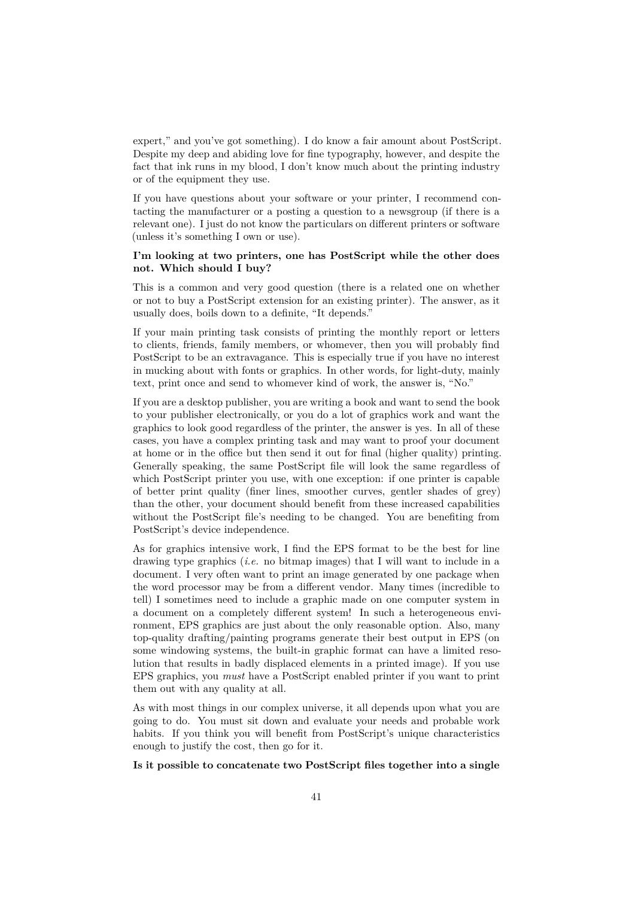expert," and you've got something). I do know a fair amount about PostScript. Despite my deep and abiding love for fine typography, however, and despite the fact that ink runs in my blood, I don't know much about the printing industry or of the equipment they use.

If you have questions about your software or your printer, I recommend contacting the manufacturer or a posting a question to a newsgroup (if there is a relevant one). I just do not know the particulars on different printers or software (unless it's something I own or use).

### <span id="page-40-0"></span>**I'm looking at two printers, one has PostScript while the other does not. Which should I buy?**

This is a common and very good question (there is a related one on whether or not to buy a PostScript extension for an existing printer). The answer, as it usually does, boils down to a definite, "It depends."

If your main printing task consists of printing the monthly report or letters to clients, friends, family members, or whomever, then you will probably find PostScript to be an extravagance. This is especially true if you have no interest in mucking about with fonts or graphics. In other words, for light-duty, mainly text, print once and send to whomever kind of work, the answer is, "No."

If you are a desktop publisher, you are writing a book and want to send the book to your publisher electronically, or you do a lot of graphics work and want the graphics to look good regardless of the printer, the answer is yes. In all of these cases, you have a complex printing task and may want to proof your document at home or in the office but then send it out for final (higher quality) printing. Generally speaking, the same PostScript file will look the same regardless of which PostScript printer you use, with one exception: if one printer is capable of better print quality (finer lines, smoother curves, gentler shades of grey) than the other, your document should benefit from these increased capabilities without the PostScript file's needing to be changed. You are benefiting from PostScript's device independence.

As for graphics intensive work, I find the EPS format to be the best for line drawing type graphics (*i.e.* no bitmap images) that I will want to include in a document. I very often want to print an image generated by one package when the word processor may be from a different vendor. Many times (incredible to tell) I sometimes need to include a graphic made on one computer system in a document on a completely different system! In such a heterogeneous environment, EPS graphics are just about the only reasonable option. Also, many top-quality drafting/painting programs generate their best output in EPS (on some windowing systems, the built-in graphic format can have a limited resolution that results in badly displaced elements in a printed image). If you use EPS graphics, you *must* have a PostScript enabled printer if you want to print them out with any quality at all.

As with most things in our complex universe, it all depends upon what you are going to do. You must sit down and evaluate your needs and probable work habits. If you think you will benefit from PostScript's unique characteristics enough to justify the cost, then go for it.

#### <span id="page-40-1"></span>**Is it possible to concatenate two PostScript files together into a single**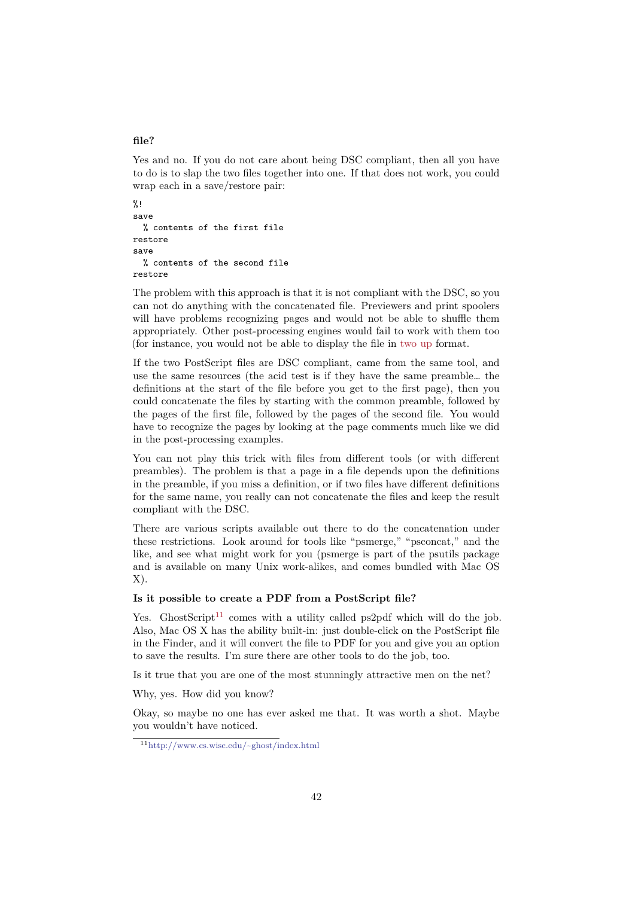#### **file?**

Yes and no. If you do not care about being DSC compliant, then all you have to do is to slap the two files together into one. If that does not work, you could wrap each in a save/restore pair:

```
%!
save
  % contents of the first file
restore
save
  % contents of the second file
restore
```
The problem with this approach is that it is not compliant with the DSC, so you can not do anything with the concatenated file. Previewers and print spoolers will have problems recognizing pages and would not be able to shuffle them appropriately. Other post-processing engines would fail to work with them too (for instance, you would not be able to display the file in two up format.

If the two PostScript files are DSC compliant, came from the same tool, and use the same resources (the acid test is if they have the same preamble… the definitions at the start of the file before you get to the first page), then you could concatenate the files by starting with the common [preamb](#page-25-0)le, followed by the pages of the first file, followed by the pages of the second file. You would have to recognize the pages by looking at the page comments much like we did in the post-processing examples.

You can not play this trick with files from different tools (or with different preambles). The problem is that a page in a file depends upon the definitions in the preamble, if you miss a definition, or if two files have different definitions for the same name, you really can not concatenate the files and keep the result compliant with the DSC.

There are various scripts available out there to do the concatenation under these restrictions. Look around for tools like "psmerge," "psconcat," and the like, and see what might work for you (psmerge is part of the psutils package and is available on many Unix work-alikes, and comes bundled with Mac OS X).

#### **Is it possible to create a PDF from a PostScript file?**

<span id="page-41-0"></span>Yes. Ghost $Script^{11}$  comes with a utility called ps2pdf which will do the job. Also, Mac OS X has the ability built-in: just double-click on the PostScript file in the Finder, and it will convert the file to PDF for you and give you an option to save the results. I'm sure there are other tools to do the job, too.

Is it true that yo[u a](#page-41-1)re one of the most stunningly attractive men on the net?

Why, yes. How did you know?

Okay, so maybe no one has ever asked me that. It was worth a shot. Maybe you wouldn't have noticed.

<span id="page-41-1"></span><sup>11</sup>http://www.cs.wisc.edu/~ghost/index.html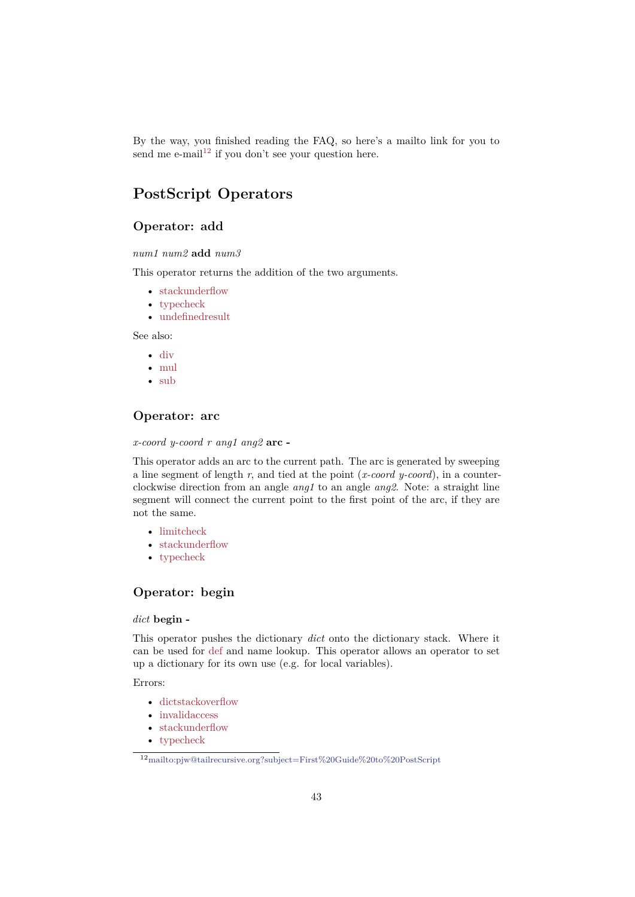By the way, you finished reading the FAQ, so here's a mailto link for you to send me e-mail<sup>12</sup> if you don't see your question here.

# **PostScri[pt](#page-42-4) Operators**

# **Operator: add**

*num1 num2* **add** *num3*

<span id="page-42-1"></span>This operator returns the addition of the two arguments.

- stackunderflow
- typecheck
- undefinedresult

See a[lso:](#page-57-2)

- [div](#page-57-3)
- [mul](#page-57-4)
- sub

# **Ope[rat](#page-50-0)or: arc**

<span id="page-42-2"></span>*x-coo[rd y-](#page-56-1)coord r ang1 ang2* **arc -**

This operator adds an arc to the current path. The arc is generated by sweeping a line segment of length *r*, and tied at the point (*x-coord y-coord*), in a counterclockwise direction from an angle *ang1* to an angle *ang2*. Note: a straight line segment will connect the current point to the first point of the arc, if they are not the same.

- limitcheck
- stackunderflow
- typecheck

# **Ope[rator: begin](#page-57-2)**

#### <span id="page-42-3"></span>*dict* **[begin -](#page-57-3)**

This operator pushes the dictionary *dict* onto the dictionary stack. Where it can be used for def and name lookup. This operator allows an operator to set up a dictionary for its own use (e.g. for local variables).

Errors:

- dictstacko[verfl](#page-45-0)ow
- invalidaccess
- stackunderflow
- typecheck

<span id="page-42-4"></span><span id="page-42-0"></span><sup>12</sup>m[ailto:pjw@tailrecursiv](#page-57-6)e.org?subject=First%20Guide%20to%20PostScript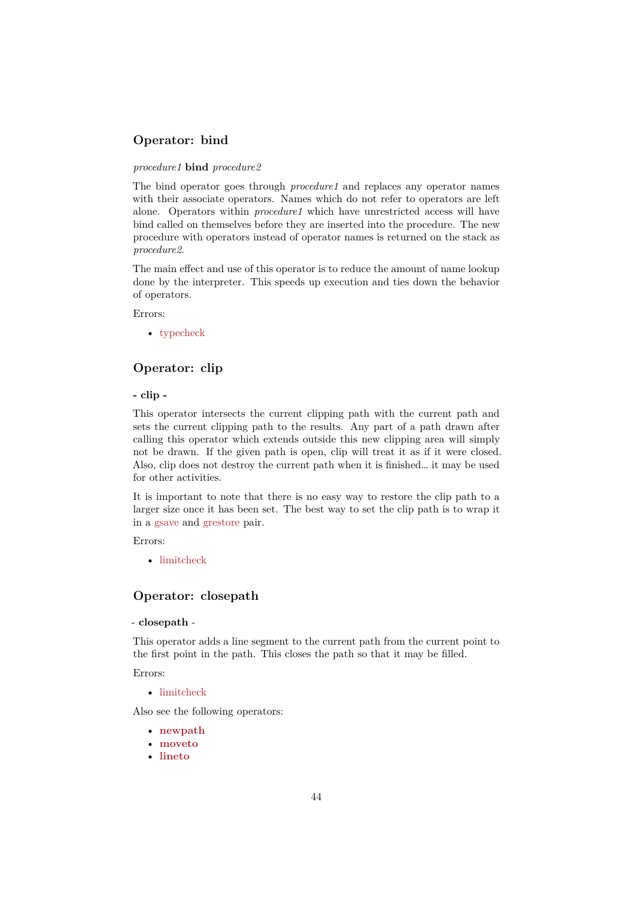# **Operator: bind**

#### *procedure1* **bind** *procedure2*

The bind operator goes through *procedure1* and replaces any operator names with their associate operators. Names which do not refer to operators are left alone. Operators within *procedure1* which have unrestricted access will have bind called on themselves before they are inserted into the procedure. The new procedure with operators instead of operator names is returned on the stack as *procedure2*.

The main effect and use of this operator is to reduce the amount of name lookup done by the interpreter. This speeds up execution and ties down the behavior of operators.

Errors:

• typecheck

# **Operator: clip**

#### <span id="page-43-0"></span>**- clip [-](#page-57-3)**

This operator intersects the current clipping path with the current path and sets the current clipping path to the results. Any part of a path drawn after calling this operator which extends outside this new clipping area will simply not be drawn. If the given path is open, clip will treat it as if it were closed. Also, clip does not destroy the current path when it is finished… it may be used for other activities.

It is important to note that there is no easy way to restore the clip path to a larger size once it has been set. The best way to set the clip path is to wrap it in a gsave and grestore pair.

#### Errors:

• limitcheck

# **Operator: closepath**

#### <span id="page-43-2"></span>- **clos[epath](#page-57-5)** -

This operator adds a line segment to the current path from the current point to the first point in the path. This closes the path so that it may be filled.

Errors:

• limitcheck

Also see the following operators:

- **newpath**
- **[moveto](#page-57-5)**
- <span id="page-43-1"></span>• **lineto**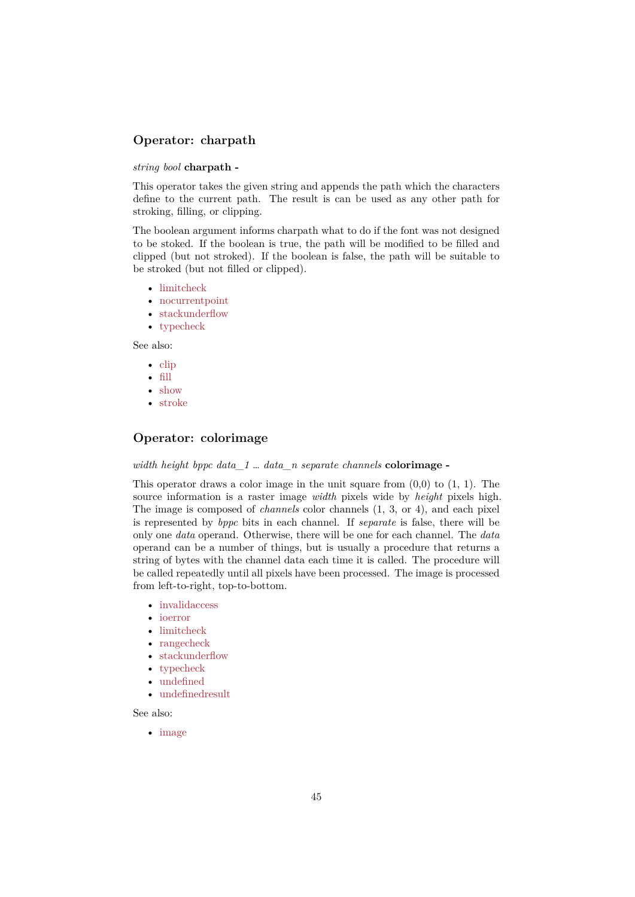# **Operator: charpath**

#### *string bool* **charpath -**

This operator takes the given string and appends the path which the characters define to the current path. The result is can be used as any other path for stroking, filling, or clipping.

The boolean argument informs charpath what to do if the font was not designed to be stoked. If the boolean is true, the path will be modified to be filled and clipped (but not stroked). If the boolean is false, the path will be suitable to be stroked (but not filled or clipped).

- limitcheck
- nocurrentpoint
- stackunderflow
- typecheck

See a[lso:](#page-57-5)

- [clip](#page-57-2)
- [fill](#page-57-3)
- show
- stroke

# **Ope[rato](#page-55-2)r: colorimage**

### <span id="page-44-0"></span>*width [height](#page-55-0) bppc data\_1* … *data\_n separate channels* **colorimage -**

This operator draws a color image in the unit square from  $(0,0)$  to  $(1, 1)$ . The source information is a raster image *width* pixels wide by *height* pixels high. The image is composed of *channels* color channels (1, 3, or 4), and each pixel is represented by *bppc* bits in each channel. If *separate* is false, there will be only one *data* operand. Otherwise, there will be one for each channel. The *data* operand can be a number of things, but is usually a procedure that returns a string of bytes with the channel data each time it is called. The procedure will be called repeatedly until all pixels have been processed. The image is processed from left-to-right, top-to-bottom.

- invalidaccess
- ioerror
- limitcheck
- rangecheck
- [stackunderflo](#page-57-7)w
- [typeche](#page-57-9)ck
- [undefined](#page-57-5)
- [undefinedre](#page-57-10)sult

#### See a[lso:](#page-57-2)

<span id="page-44-1"></span>• [image](#page-57-11)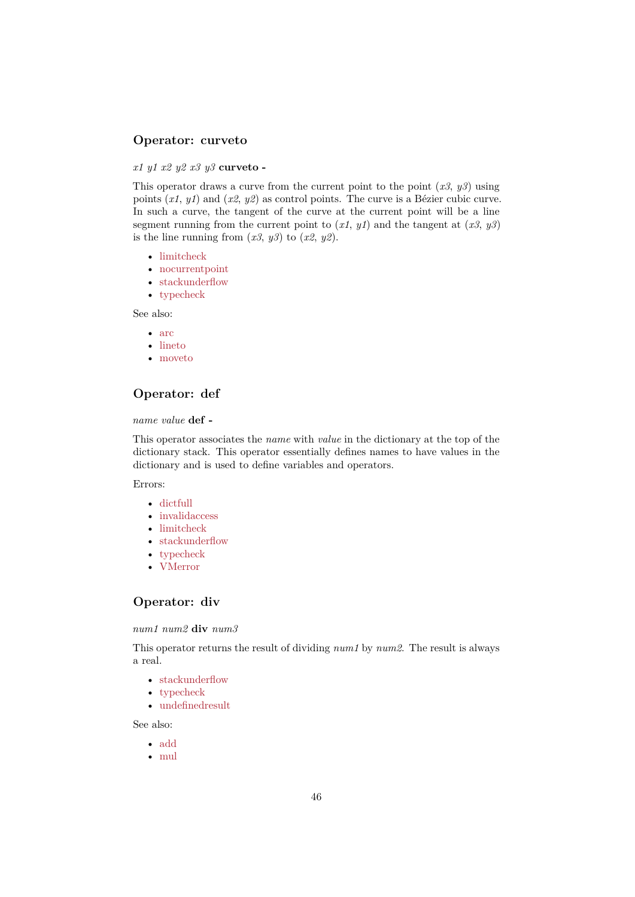# **Operator: curveto**

#### *x1 y1 x2 y2 x3 y3* **curveto -**

This operator draws a curve from the current point to the point (*x3*, *y3*) using points (*x1*, *y1*) and (*x2*, *y2*) as control points. The curve is a Bézier cubic curve. In such a curve, the tangent of the curve at the current point will be a line segment running from the current point to  $(x1, y1)$  and the tangent at  $(x3, y3)$ is the line running from  $(x3, y3)$  to  $(x2, y2)$ .

- limitcheck
- nocurrentpoint
- stackunderflow
- typecheck

See a[lso:](#page-57-5)

- [arc](#page-57-2)
- [lineto](#page-57-3)
- moveto

# **Ope[rator](#page-49-1): def**

#### <span id="page-45-0"></span>*name [value](#page-50-2)* **def -**

This operator associates the *name* with *value* in the dictionary at the top of the dictionary stack. This operator essentially defines names to have values in the dictionary and is used to define variables and operators.

Errors:

- dictfull
- invalidaccess
- limitcheck
- stackunderflow
- [typeche](#page-57-12)ck
- [VMerror](#page-57-7)

# **Ope[rator: d](#page-57-3)[iv](#page-57-2)**

#### <span id="page-45-1"></span>*num1 [num2](#page-57-13)* **div** *num3*

This operator returns the result of dividing *num1* by *num2*. The result is always a real.

- stackunderflow
- typecheck
- undefinedresult

See a[lso:](#page-57-2)

- [add](#page-57-3)
- [mul](#page-57-4)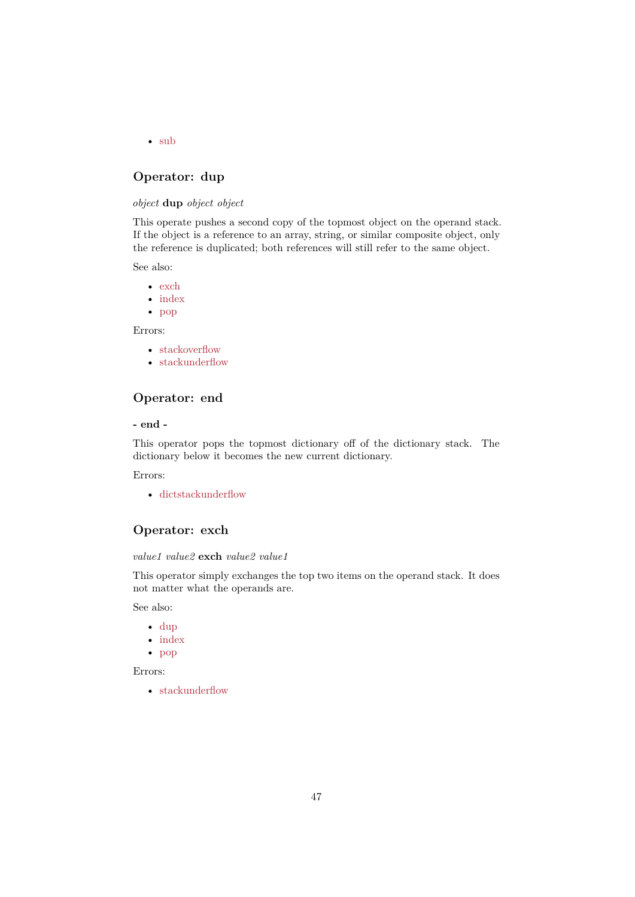• sub

# **Operator: dup**

### <span id="page-46-1"></span>*object* **[du](#page-56-1)p** *object object*

This operate pushes a second copy of the topmost object on the operand stack. If the object is a reference to an array, string, or similar composite object, only the reference is duplicated; both references will still refer to the same object.

See also:

- exch
- index
- pop

Errors:

- [stacko](#page-49-0)verflow
- [stac](#page-51-2)kunderflow

# **Ope[rator: end](#page-57-14)**

#### <span id="page-46-2"></span>**- end [-](#page-57-2)**

This operator pops the topmost dictionary off of the dictionary stack. The dictionary below it becomes the new current dictionary.

Errors:

• dictstackunderflow

# **Operator: exch**

#### <span id="page-46-3"></span>*value[1 value2](#page-57-15)* **exch** *value2 value1*

This operator simply exchanges the top two items on the operand stack. It does not matter what the operands are.

See also:

- dup
- index
- pop

Error[s:](#page-46-1)

<span id="page-46-0"></span>• [stacku](#page-49-0)nderflow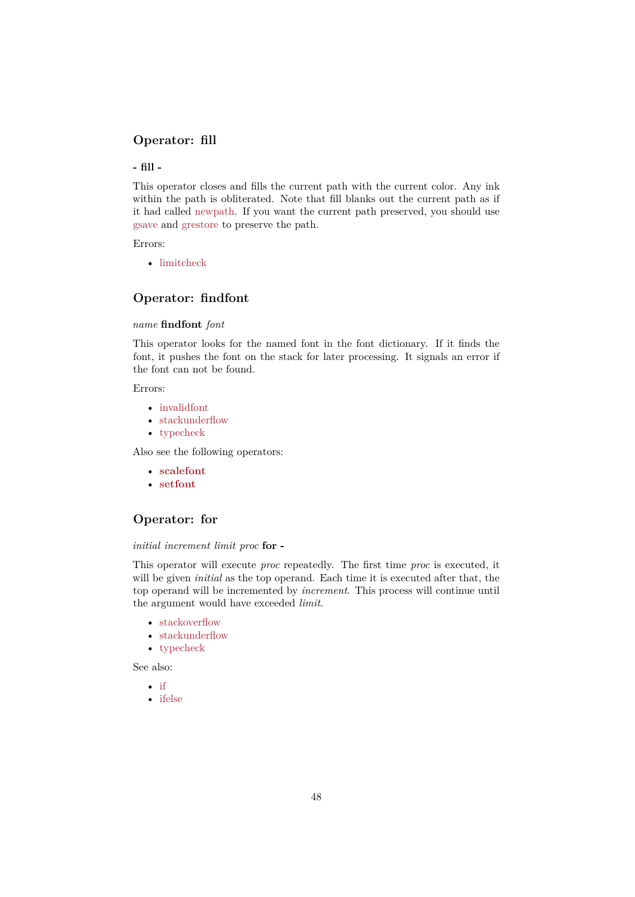# **Operator: fill**

**- fill -**

This operator closes and fills the current path with the current color. Any ink within the path is obliterated. Note that fill blanks out the current path as if it had called newpath. If you want the current path preserved, you should use gsave and grestore to preserve the path.

Errors:

• limitch[eck](#page-50-1)

# **Operator: findfont**

#### <span id="page-47-2"></span>*name* **[findfont](#page-57-5)** *font*

This operator looks for the named font in the font dictionary. If it finds the font, it pushes the font on the stack for later processing. It signals an error if the font can not be found.

Errors:

- invalidfont
- stackunderflow
- typecheck

Also [see the follo](#page-57-16)wing operators:

- **[scalefont](#page-57-2)**
- **[setfont](#page-57-3)**

# **Ope[rator: fo](#page-53-0)r**

#### <span id="page-47-0"></span>*initial [increme](#page-53-1)nt limit proc* **for -**

This operator will execute *proc* repeatedly. The first time *proc* is executed, it will be given *initial* as the top operand. Each time it is executed after that, the top operand will be incremented by *increment*. This process will continue until the argument would have exceeded *limit*.

- stackoverflow
- stackunderflow
- typecheck

See a[lso:](#page-57-14)

- [if](#page-57-2)
- <span id="page-47-1"></span>• [ifelse](#page-57-3)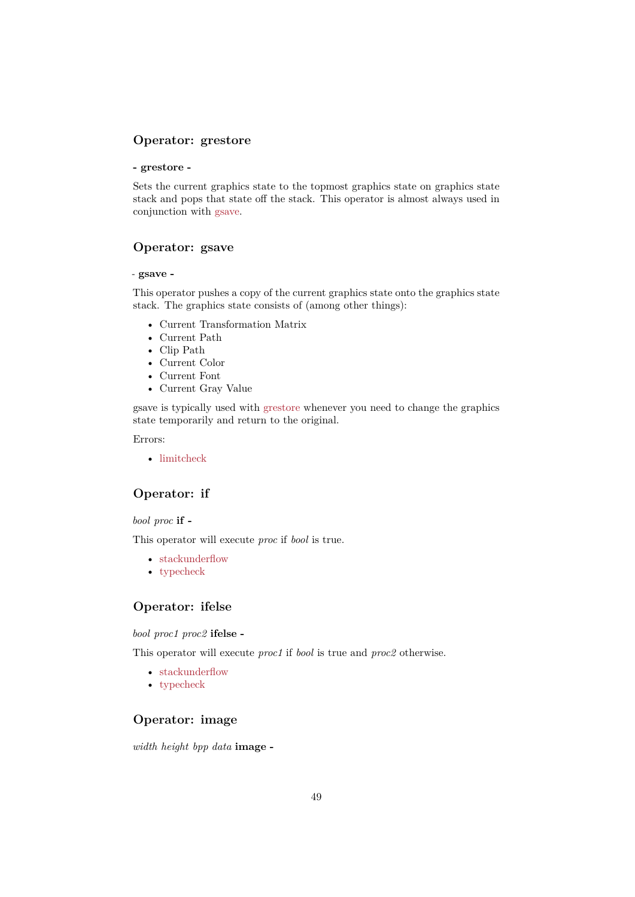# **Operator: grestore**

#### **- grestore -**

Sets the current graphics state to the topmost graphics state on graphics state stack and pops that state off the stack. This operator is almost always used in conjunction with gsave.

# **Operator: gsave**

#### <span id="page-48-1"></span>*-* **gsave -**

This operator pushes a copy of the current graphics state onto the graphics state stack. The graphics state consists of (among other things):

- Current Transformation Matrix
- Current Path
- Clip Path
- Current Color
- Current Font
- Current Gray Value

gsave is typically used with grestore whenever you need to change the graphics state temporarily and return to the original.

Errors:

• limitcheck

# **Operator: if**

#### <span id="page-48-2"></span>*bool proc* **[if -](#page-57-5)**

This operator will execute *proc* if *bool* is true.

- stackunderflow
- typecheck

# **Ope[rator: ifelse](#page-57-2)**

<span id="page-48-3"></span>*bool p[roc1 proc2](#page-57-3)* **ifelse -**

This operator will execute *proc1* if *bool* is true and *proc2* otherwise.

- stackunderflow
- typecheck

# **Ope[rator: imag](#page-57-2)e**

<span id="page-48-0"></span>*width [height bpp](#page-57-3) data* **image -**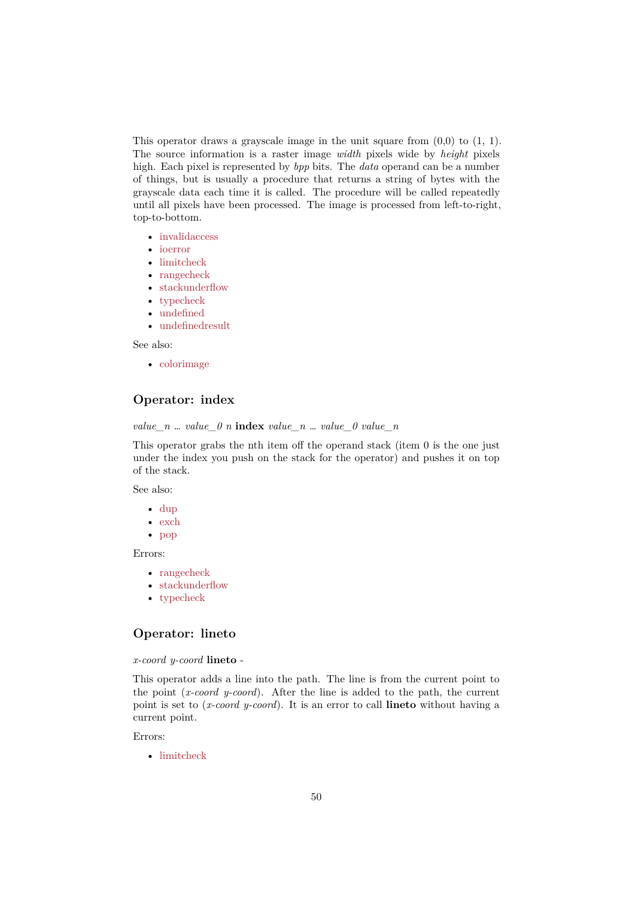This operator draws a grayscale image in the unit square from  $(0,0)$  to  $(1, 1)$ . The source information is a raster image *width* pixels wide by *height* pixels high. Each pixel is represented by *bpp* bits. The *data* operand can be a number of things, but is usually a procedure that returns a string of bytes with the grayscale data each time it is called. The procedure will be called repeatedly until all pixels have been processed. The image is processed from left-to-right, top-to-bottom.

- invalidaccess
- ioerror
- limitcheck
- rangecheck
- [stackunderflo](#page-57-7)w
- [typeche](#page-57-9)ck
- [undefined](#page-57-5)
- [undefinedre](#page-57-10)sult

See a[lso:](#page-57-2)

• [colorimage](#page-57-11)

# **Operator: index**

<span id="page-49-0"></span>*value[\\_n … value\\_](#page-44-0)0 n* **index** *value\_n … value\_0 value\_n*

This operator grabs the nth item off the operand stack (item 0 is the one just under the index you push on the stack for the operator) and pushes it on top of the stack.

See also:

- dup
- exch
- pop

Error[s:](#page-46-1)

- [rang](#page-46-3)echeck
- [stac](#page-51-2)kunderflow
- typecheck

# **Ope[rator: linet](#page-57-2)o**

<span id="page-49-1"></span>*x-coo[rd y-coord](#page-57-3)* **lineto** -

This operator adds a line into the path. The line is from the current point to the point (*x-coord y-coord*). After the line is added to the path, the current point is set to (*x-coord y-coord*). It is an error to call **lineto** without having a current point.

#### Errors:

• limitcheck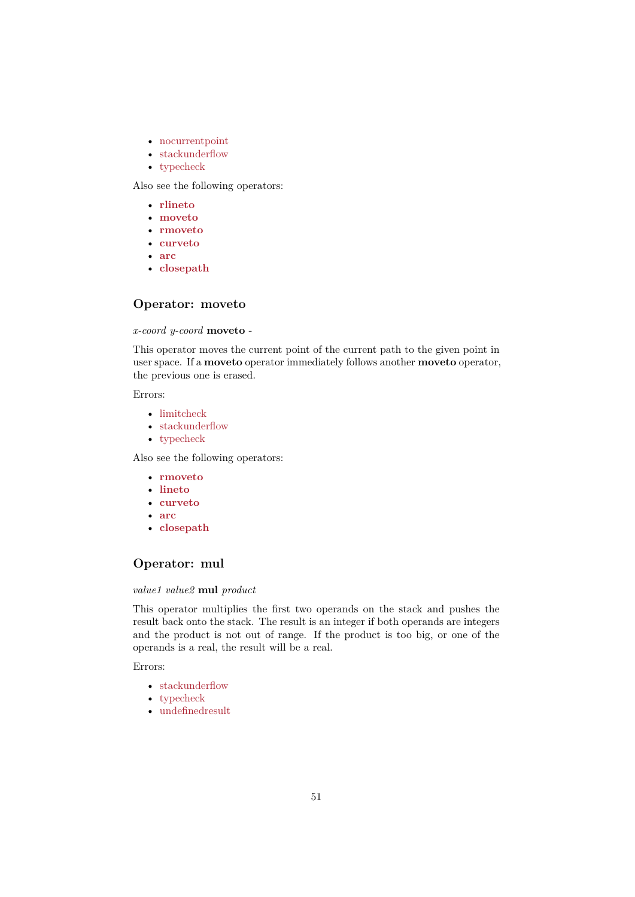- nocurrentpoint
- stackunderflow
- typecheck

Also [see the following](#page-57-8) operators:

- **[rlineto](#page-57-2)**
- **[moveto](#page-57-3)**
- **rmoveto**
- **curveto**
- **[arc](#page-51-0)**
- **[closepat](#page-50-2)h**

# **Ope[rat](#page-42-2)[or:](#page-44-1) moveto**

#### <span id="page-50-2"></span>*x-coo[rd y-coord](#page-43-2)* **moveto** -

This operator moves the current point of the current path to the given point in user space. If a **moveto** operator immediately follows another **moveto** operator, the previous one is erased.

Errors:

- limitcheck
- stackunderflow
- typecheck

Also [see the follo](#page-57-5)wing operators:

- **[rmoveto](#page-57-2)**
- **[lineto](#page-57-3)**
- **curveto**
- **arc**
- **[closepath](#page-52-2)**

# **Ope[rat](#page-42-2)[or:](#page-44-1) mul**

#### <span id="page-50-0"></span>*value[1 value2](#page-43-2)* **mul** *product*

This operator multiplies the first two operands on the stack and pushes the result back onto the stack. The result is an integer if both operands are integers and the product is not out of range. If the product is too big, or one of the operands is a real, the result will be a real.

Errors:

- stackunderflow
- typecheck
- <span id="page-50-1"></span>• undefinedresult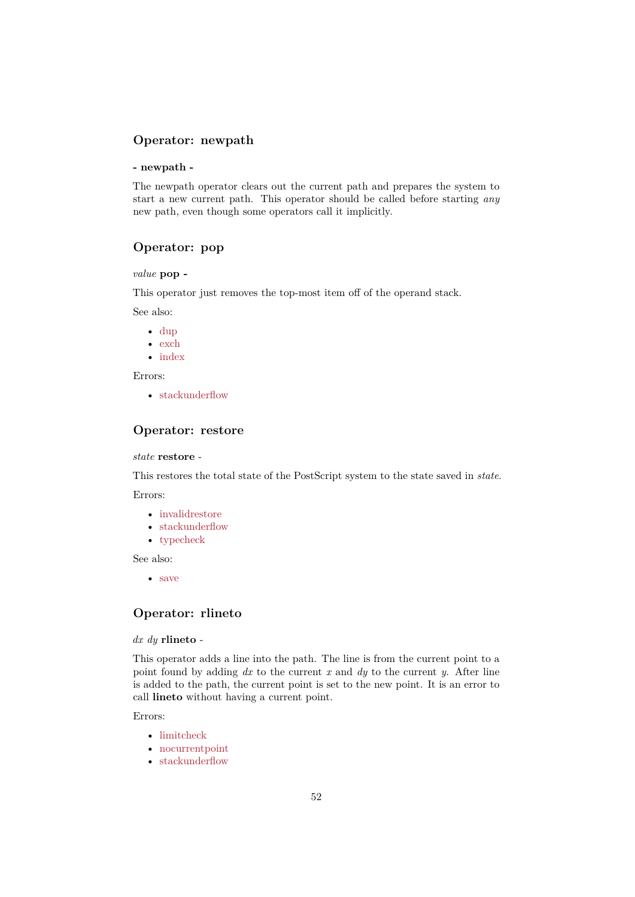# **Operator: newpath**

#### **- newpath -**

The newpath operator clears out the current path and prepares the system to start a new current path. This operator should be called before starting *any* new path, even though some operators call it implicitly.

# **Operator: pop**

#### <span id="page-51-2"></span>*value* **pop -**

This operator just removes the top-most item off of the operand stack.

See also:

- dup
- exch
- index

Error[s:](#page-46-1)

• [stack](#page-46-3)underflow

# **Operator: restore**

#### <span id="page-51-1"></span>*state* **[restore](#page-51-2)** -

This restores the total state of the PostScript system to the state saved in *state*.

Errors:

- invalidrestore
- stackunderflow
- typecheck

See a[lso:](#page-57-17)

• [save](#page-57-2)

### **Operator: rlineto**

#### <span id="page-51-0"></span>*dx dy* **[rlin](#page-52-1)eto** -

This operator adds a line into the path. The line is from the current point to a point found by adding *dx* to the current *x* and *dy* to the current *y*. After line is added to the path, the current point is set to the new point. It is an error to call **lineto** without having a current point.

#### Errors:

- limitcheck
- nocurrentpoint
- stackunderflow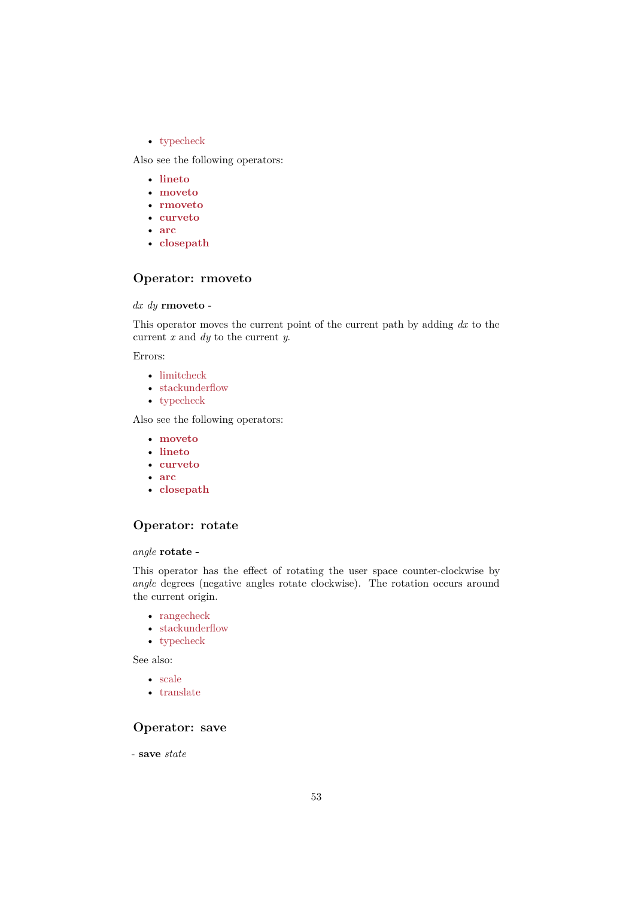• typecheck

Also see the following operators:

- **lineto**
- **[moveto](#page-57-3)**
- **rmoveto**
- **curveto**
- **[arc](#page-49-1)**
- **[closepat](#page-50-2)h**

# **Ope[rat](#page-42-2)[or:](#page-44-1) rmoveto**

#### <span id="page-52-2"></span>*dx dy* **[rmoveto](#page-43-2)** -

This operator moves the current point of the current path by adding *dx* to the current *x* and *dy* to the current *y*.

Errors:

- limitcheck
- stackunderflow
- typecheck

Also [see the follo](#page-57-5)wing operators:

- **[moveto](#page-57-2)**
- **[lineto](#page-57-3)**
- **curveto**
- **arc**
- **[closepat](#page-50-2)h**

# **Ope[rat](#page-42-2)[or:](#page-44-1) rotate**

#### <span id="page-52-0"></span>*angle* **[rotate -](#page-43-2)**

This operator has the effect of rotating the user space counter-clockwise by *angle* degrees (negative angles rotate clockwise). The rotation occurs around the current origin.

- rangecheck
- stackunderflow
- typecheck

See a[lso:](#page-57-10)

- [scale](#page-57-2)
- [translate](#page-57-3)

# **Ope[rato](#page-53-2)r: save**

<span id="page-52-1"></span>- **save** *[state](#page-56-0)*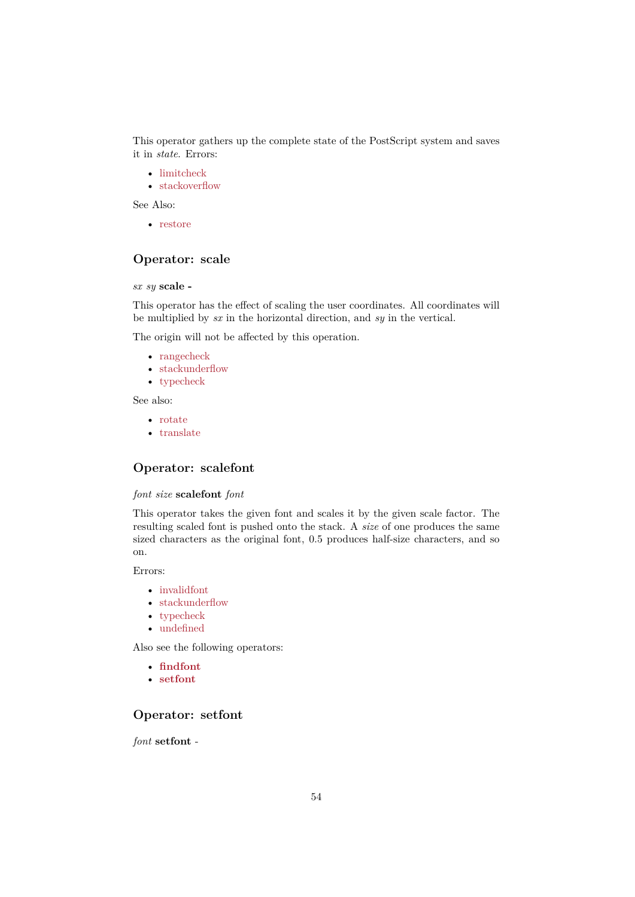This operator gathers up the complete state of the PostScript system and saves it in *state*. Errors:

- limitcheck
- stackoverflow

See Also:

• [restore](#page-57-5)

# **Operator: scale**

<span id="page-53-2"></span>*sx sy* **[scale -](#page-51-1)**

This operator has the effect of scaling the user coordinates. All coordinates will be multiplied by *sx* in the horizontal direction, and *sy* in the vertical.

The origin will not be affected by this operation.

- rangecheck
- stackunderflow
- typecheck

See a[lso:](#page-57-10)

- [rotate](#page-57-2)
- [translate](#page-57-3)

# **Ope[rator](#page-52-0): scalefont**

#### <span id="page-53-0"></span>*font size* **[scale](#page-56-0)font** *font*

This operator takes the given font and scales it by the given scale factor. The resulting scaled font is pushed onto the stack. A *size* of one produces the same sized characters as the original font, 0.5 produces half-size characters, and so on.

Errors:

- invalidfont
- stackunderflow
- typecheck
- undefined

Also [see the foll](#page-57-16)[owing](#page-57-2) operators:

- **[findfont](#page-57-3)**
- **[setfont](#page-57-11)**

# **Ope[rator: s](#page-47-2)etfont**

<span id="page-53-1"></span>*font* **[setfont](#page-53-1)** -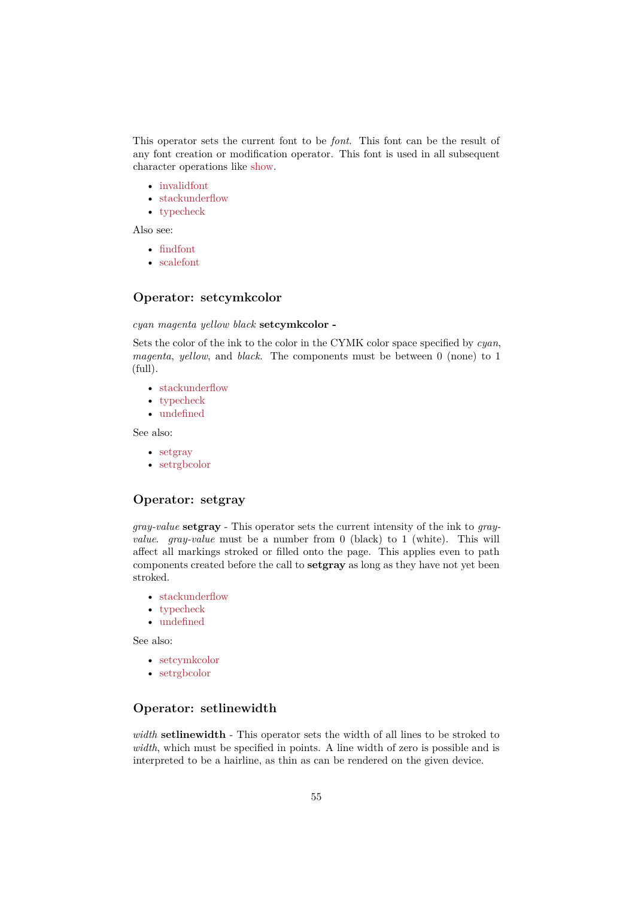This operator sets the current font to be *font*. This font can be the result of any font creation or modification operator. This font is used in all subsequent character operations like show.

- invalidfont
- stackunderflow
- typecheck

Also [see:](#page-57-16)

- [findfont](#page-57-2)
- [scalefont](#page-57-3)

# **Ope[rator:](#page-47-2) setcymkcolor**

#### <span id="page-54-2"></span>*cyan [magenta](#page-53-0) yellow black* **setcymkcolor -**

Sets the color of the ink to the color in the CYMK color space specified by *cyan*, *magenta*, *yellow*, and *black*. The components must be between 0 (none) to 1 (full).

- stackunderflow
- typecheck
- undefined

See a[lso:](#page-57-2)

- [setgray](#page-57-3)
- [setrgbcolo](#page-57-11)r

# **Ope[rator:](#page-54-0) setgray**

<span id="page-54-0"></span>*gray-value* **[setgra](#page-55-3)y** - This operator sets the current intensity of the ink to *grayvalue*. *gray-value* must be a number from 0 (black) to 1 (white). This will affect all markings stroked or filled onto the page. This applies even to path components created before the call to **setgray** as long as they have not yet been stroked.

- stackunderflow
- typecheck
- undefined

See a[lso:](#page-57-2)

- [setcymkco](#page-57-3)lor
- [setrgbcolo](#page-57-11)r

# **Ope[rator: setl](#page-54-2)inewidth**

<span id="page-54-1"></span>*width* **[setlinewid](#page-55-3)th** - This operator sets the width of all lines to be stroked to *width*, which must be specified in points. A line width of zero is possible and is interpreted to be a hairline, as thin as can be rendered on the given device.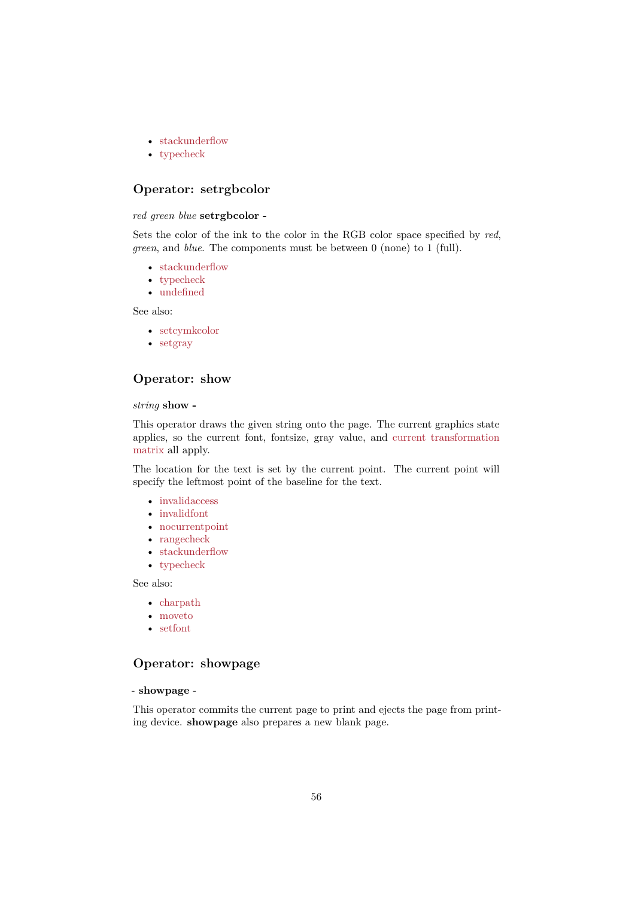- stackunderflow
- typecheck

# **Ope[rator: setrg](#page-57-2)bcolor**

#### <span id="page-55-3"></span>*red gr[een blue](#page-57-3)* **setrgbcolor -**

Sets the color of the ink to the color in the RGB color space specified by *red*, *green*, and *blue*. The components must be between 0 (none) to 1 (full).

- stackunderflow
- typecheck
- undefined

See also:

- [setcymkco](#page-57-3)[lor](#page-57-2)
- [setgray](#page-57-11)

# **Ope[rator: sho](#page-54-2)w**

#### <span id="page-55-2"></span>*string* **[show -](#page-54-0)**

This operator draws the given string onto the page. The current graphics state applies, so the current font, fontsize, gray value, and current transformation matrix all apply.

The location for the text is set by the current point. The current point will specify the leftmost point of the baseline for the text.

- [•](#page-3-1) invalidaccess
- invalidfont
- nocurrentpoint
- rangecheck
- [stackunderflo](#page-57-7)w
- [typecheck](#page-57-16)

See a[lso:](#page-57-8)

- [charpath](#page-57-2)
- [moveto](#page-57-3)
- setfont

# **Ope[rator:](#page-50-2) showpage**

### <span id="page-55-1"></span>- **sho[wpage](#page-53-1)** -

<span id="page-55-0"></span>This operator commits the current page to print and ejects the page from printing device. **showpage** also prepares a new blank page.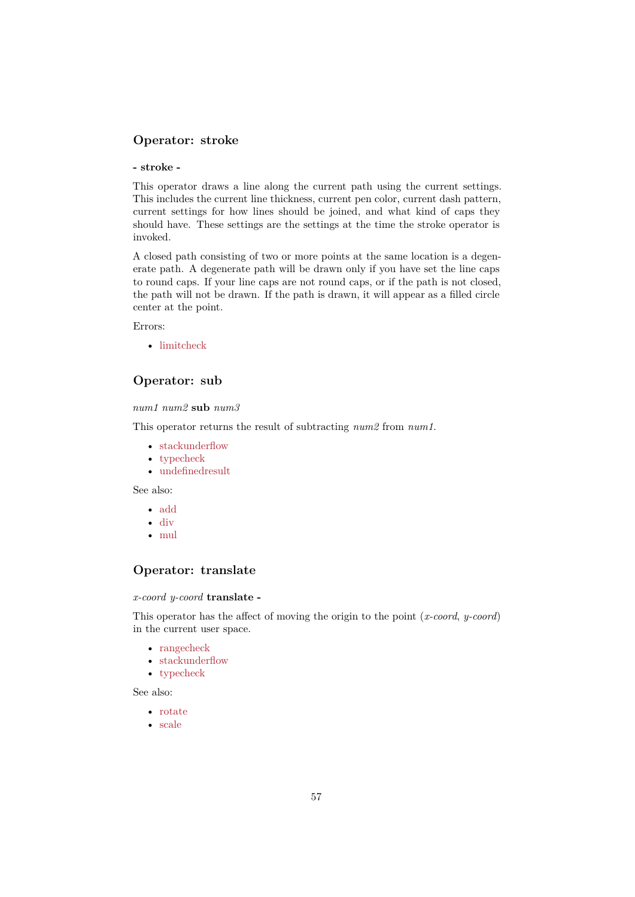# **Operator: stroke**

#### **- stroke -**

This operator draws a line along the current path using the current settings. This includes the current line thickness, current pen color, current dash pattern, current settings for how lines should be joined, and what kind of caps they should have. These settings are the settings at the time the stroke operator is invoked.

A closed path consisting of two or more points at the same location is a degenerate path. A degenerate path will be drawn only if you have set the line caps to round caps. If your line caps are not round caps, or if the path is not closed, the path will not be drawn. If the path is drawn, it will appear as a filled circle center at the point.

Errors:

• limitcheck

# **Operator: sub**

<span id="page-56-1"></span>*num1 [num2](#page-57-5)* **sub** *num3*

This operator returns the result of subtracting *num2* from *num1*.

- stackunderflow
- typecheck
- undefinedresult

See a[lso:](#page-57-2)

- [add](#page-57-3)
- [div](#page-57-4)
- mul

# **Ope[ra](#page-45-1)[t](#page-42-1)or: translate**

### <span id="page-56-0"></span>*x-coo[rd y-](#page-50-0)coord* **translate -**

This operator has the affect of moving the origin to the point (*x-coord*, *y-coord*) in the current user space.

- rangecheck
- stackunderflow
- typecheck

See a[lso:](#page-57-10)

- [rotate](#page-57-2)
- [scale](#page-57-3)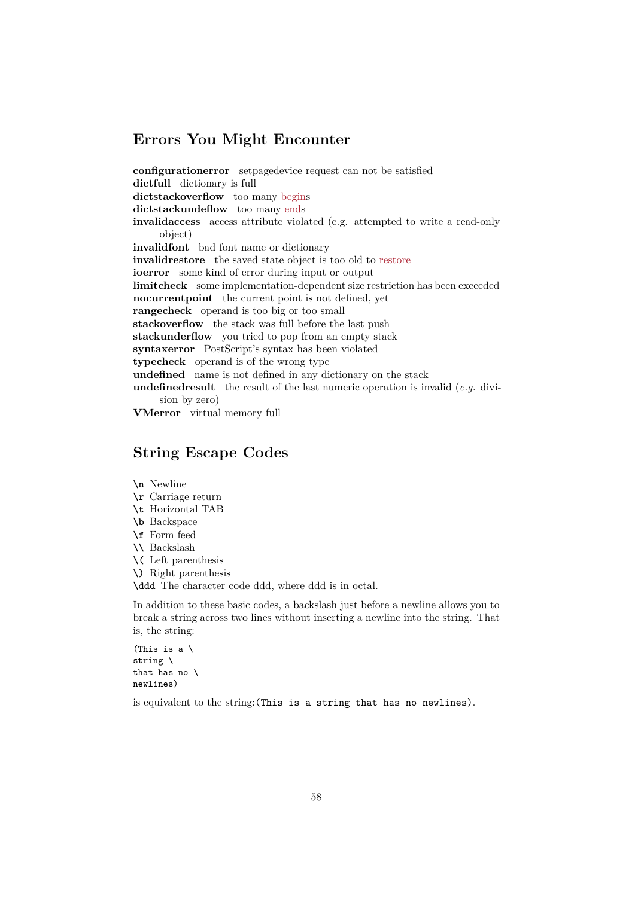# **Errors You Might Encounter**

<span id="page-57-16"></span><span id="page-57-15"></span><span id="page-57-12"></span><span id="page-57-7"></span><span id="page-57-6"></span>**configurationerror** setpagedevice request can not be satisfied **dictfull** dictionary is full **dictstackoverflow** too many begins **dictstackundeflow** too many ends **invalidaccess** access attribute violated (e.g. attempted to write a read-only object) **invalidfont** bad font name or [dictio](#page-42-3)nary **invalidrestore** the saved state [obj](#page-46-2)ect is too old to restore **ioerror** some kind of error during input or output **limitcheck** some implementation-dependent size restriction has been exceeded **nocurrentpoint** the current point is not defined, yet **rangecheck** operand is too big or too small **stackoverflow** the stack was full before the last p[ush](#page-51-1) **stackunderflow** you tried to pop from an empty stack **syntaxerror** PostScript's syntax has been violated **typecheck** operand is of the wrong type **undefined** name is not defined in any dictionary on the stack **undefinedresult** the result of the last numeric operation is invalid (*e.g.* division by zero) **VMerror** virtual memory full

# <span id="page-57-17"></span><span id="page-57-14"></span><span id="page-57-11"></span><span id="page-57-10"></span><span id="page-57-9"></span><span id="page-57-8"></span><span id="page-57-5"></span><span id="page-57-4"></span><span id="page-57-3"></span><span id="page-57-2"></span>**String Escape Codes**

<span id="page-57-13"></span><span id="page-57-0"></span>**\n** Newline

- **\r** Carriage return
- **\t** Horizontal TAB
- **\b** Backspace
- **\f** Form feed
- **\\** Backslash
- **\(** Left parenthesis
- **\)** Right parenthesis

**\ddd** The character code ddd, where ddd is in octal.

In addition to these basic codes, a backslash just before a newline allows you to break a string across two lines without inserting a newline into the string. That is, the string:

(This is a  $\setminus$ string \ that has no \ newlines)

<span id="page-57-1"></span>is equivalent to the string:(This is a string that has no newlines).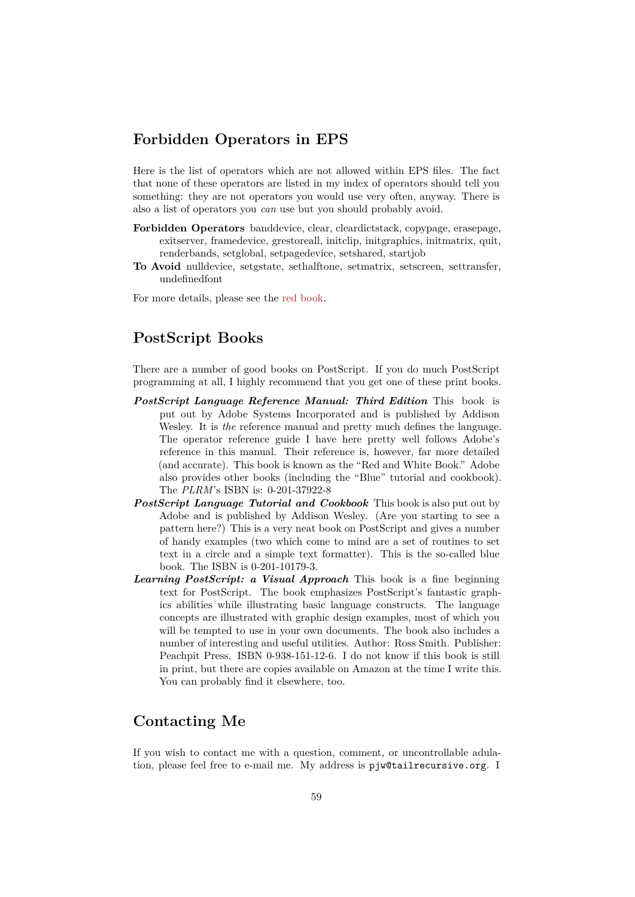# **Forbidden Operators in EPS**

Here is the list of operators which are not allowed within EPS files. The fact that none of these operators are listed in my index of operators should tell you something: they are not operators you would use very often, anyway. There is also a list of operators you *can* use but you should probably avoid.

- **Forbidden Operators** banddevice, clear, cleardictstack, copypage, erasepage, exitserver, framedevice, grestoreall, initclip, initgraphics, initmatrix, quit, renderbands, setglobal, setpagedevice, setshared, startjob
- **To Avoid** nulldevice, setgstate, sethalftone, setmatrix, setscreen, settransfer, undefinedfont

For more details, please see the red book.

# **PostScript Books**

<span id="page-58-1"></span>There are a number of good books on PostScript. If you do much PostScript programming at all, I highly recommend that you get one of these print books.

- *PostScript Language Reference Manual: Third Edition* This book is put out by Adobe Systems Incorporated and is published by Addison Wesley. It is *the* reference manual and pretty much defines the language. The operator reference guide I have here pretty well follows Adobe's reference in this manual. Their reference is, however, far more detailed (and accurate). This book is known as the "Red and White Book." Adobe also provides other books (including the "Blue" tutorial and cookbook). The *PLRM*'s ISBN is: 0-201-37922-8
- <span id="page-58-2"></span>*PostScript Language Tutorial and Cookbook* This book is also put out by Adobe and is published by Addison Wesley. (Are you starting to see a pattern here?) This is a very neat book on PostScript and gives a number of handy examples (two which come to mind are a set of routines to set text in a circle and a simple text formatter). This is the so-called blue book. The ISBN is 0-201-10179-3.
- *Learning PostScript: a Visual Approach* This book is a fine beginning text for PostScript. The book emphasizes PostScript's fantastic graphics abilities while illustrating basic language constructs. The language concepts are illustrated with graphic design examples, most of which you will be tempted to use in your own documents. The book also includes a number of interesting and useful utilities. Author: Ross Smith. Publisher: Peachpit Press. ISBN 0-938-151-12-6. I do not know if this book is still in print, but there are copies available on Amazon at the time I write this. You can probably find it elsewhere, too.

# **Contacting Me**

<span id="page-58-0"></span>If you wish to contact me with a question, comment, or uncontrollable adulation, please feel free to e-mail me. My address is pjw@tailrecursive.org. I